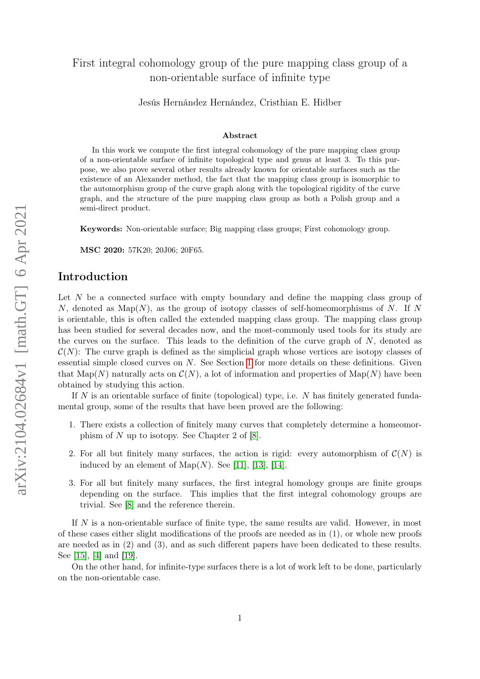# arXiv:2104.02684v1 [math.GT] 6 Apr 2021 arXiv:2104.02684v1 [math.GT] 6 Apr 2021

# First integral cohomology group of the pure mapping class group of a non-orientable surface of infinite type

Jesús Hernández Hernández, Cristhian E. Hidber

### Abstract

In this work we compute the first integral cohomology of the pure mapping class group of a non-orientable surface of infinite topological type and genus at least 3. To this purpose, we also prove several other results already known for orientable surfaces such as the existence of an Alexander method, the fact that the mapping class group is isomorphic to the automorphism group of the curve graph along with the topological rigidity of the curve graph, and the structure of the pure mapping class group as both a Polish group and a semi-direct product.

Keywords: Non-orientable surface; Big mapping class groups; First cohomology group.

MSC 2020: 57K20; 20J06; 20F65.

# Introduction

Let N be a connected surface with empty boundary and define the mapping class group of N, denoted as  $\text{Map}(N)$ , as the group of isotopy classes of self-homeomorphisms of N. If N is orientable, this is often called the extended mapping class group. The mapping class group has been studied for several decades now, and the most-commonly used tools for its study are the curves on the surface. This leads to the definition of the curve graph of  $N$ , denoted as  $\mathcal{C}(N)$ : The curve graph is defined as the simplicial graph whose vertices are isotopy classes of essential simple closed curves on N. See Section [1](#page-3-0) for more details on these definitions. Given that Map(N) naturally acts on  $\mathcal{C}(N)$ , a lot of information and properties of Map(N) have been obtained by studying this action.

If N is an orientable surface of finite (topological) type, i.e.  $N$  has finitely generated fundamental group, some of the results that have been proved are the following:

- 1. There exists a collection of finitely many curves that completely determine a homeomorphism of  $N$  up to isotopy. See Chapter 2 of  $[8]$ .
- 2. For all but finitely many surfaces, the action is rigid: every automorphism of  $\mathcal{C}(N)$  is induced by an element of  $\text{Map}(N)$ . See [\[11\]](#page-25-1), [\[13\]](#page-25-2), [\[14\]](#page-25-3).
- 3. For all but finitely many surfaces, the first integral homology groups are finite groups depending on the surface. This implies that the first integral cohomology groups are trivial. See [\[8\]](#page-25-0) and the reference therein.

If N is a non-orientable surface of finite type, the same results are valid. However, in most of these cases either slight modifications of the proofs are needed as in (1), or whole new proofs are needed as in (2) and (3), and as such different papers have been dedicated to these results. See [\[15\]](#page-25-4), [\[4\]](#page-24-0) and [\[19\]](#page-25-5).

On the other hand, for infinite-type surfaces there is a lot of work left to be done, particularly on the non-orientable case.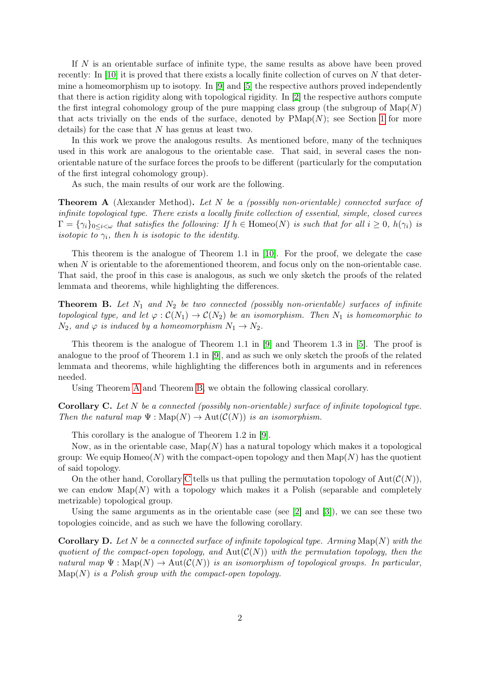If N is an orientable surface of infinite type, the same results as above have been proved recently: In [\[10\]](#page-25-6) it is proved that there exists a locally finite collection of curves on N that determine a homeomorphism up to isotopy. In [\[9\]](#page-25-7) and [\[5\]](#page-25-8) the respective authors proved independently that there is action rigidity along with topological rigidity. In [\[2\]](#page-24-1) the respective authors compute the first integral cohomology group of the pure mapping class group (the subgroup of  $\text{Map}(N)$ ) that acts trivially on the ends of the surface, denoted by  $\text{PMap}(N)$ ; see Section [1](#page-3-0) for more details) for the case that  $N$  has genus at least two.

In this work we prove the analogous results. As mentioned before, many of the techniques used in this work are analogous to the orientable case. That said, in several cases the nonorientable nature of the surface forces the proofs to be different (particularly for the computation of the first integral cohomology group).

As such, the main results of our work are the following.

<span id="page-1-0"></span>Theorem A (Alexander Method). Let N be a (possibly non-orientable) connected surface of infinite topological type. There exists a locally finite collection of essential, simple, closed curves  $\Gamma = \{\gamma_i\}_{0 \leq i \leq \omega}$  that satisfies the following: If  $h \in \text{Homeo}(N)$  is such that for all  $i \geq 0$ ,  $h(\gamma_i)$  is isotopic to  $\gamma_i$ , then h is isotopic to the identity.

This theorem is the analogue of Theorem 1.1 in [\[10\]](#page-25-6). For the proof, we delegate the case when N is orientable to the aforementioned theorem, and focus only on the non-orientable case. That said, the proof in this case is analogous, as such we only sketch the proofs of the related lemmata and theorems, while highlighting the differences.

<span id="page-1-1"></span>**Theorem B.** Let  $N_1$  and  $N_2$  be two connected (possibly non-orientable) surfaces of infinite topological type, and let  $\varphi : C(N_1) \to C(N_2)$  be an isomorphism. Then  $N_1$  is homeomorphic to  $N_2$ , and  $\varphi$  is induced by a homeomorphism  $N_1 \rightarrow N_2$ .

This theorem is the analogue of Theorem 1.1 in [\[9\]](#page-25-7) and Theorem 1.3 in [\[5\]](#page-25-8). The proof is analogue to the proof of Theorem 1.1 in [\[9\]](#page-25-7), and as such we only sketch the proofs of the related lemmata and theorems, while highlighting the differences both in arguments and in references needed.

Using Theorem [A](#page-1-0) and Theorem [B,](#page-1-1) we obtain the following classical corollary.

<span id="page-1-2"></span>**Corollary C.** Let N be a connected (possibly non-orientable) surface of infinite topological type. Then the natural map  $\Psi : \text{Map}(N) \to \text{Aut}(\mathcal{C}(N))$  is an isomorphism.

This corollary is the analogue of Theorem 1.2 in [\[9\]](#page-25-7).

Now, as in the orientable case,  $\text{Map}(N)$  has a natural topology which makes it a topological group: We equip  $\text{Homeo}(N)$  with the compact-open topology and then  $\text{Map}(N)$  has the quotient of said topology.

On the other hand, [C](#page-1-2)orollary C tells us that pulling the permutation topology of  $Aut(\mathcal{C}(N))$ , we can endow  $\text{Map}(N)$  with a topology which makes it a Polish (separable and completely metrizable) topological group.

Using the same arguments as in the orientable case (see  $[2]$  and  $[3]$ ), we can see these two topologies coincide, and as such we have the following corollary.

<span id="page-1-3"></span>**Corollary D.** Let N be a connected surface of infinite topological type. Arming  $\text{Map}(N)$  with the quotient of the compact-open topology, and  $Aut(C(N))$  with the permutation topology, then the natural map  $\Psi : \text{Map}(N) \to \text{Aut}(\mathcal{C}(N))$  is an isomorphism of topological groups. In particular,  $Map(N)$  is a Polish group with the compact-open topology.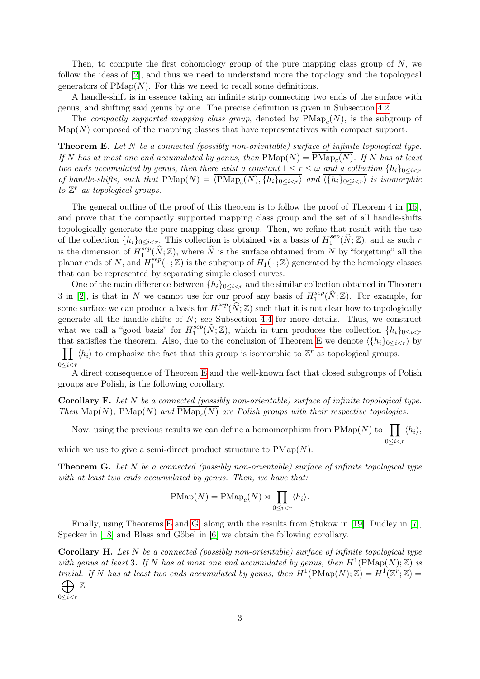Then, to compute the first cohomology group of the pure mapping class group of  $N$ , we follow the ideas of [\[2\]](#page-24-1), and thus we need to understand more the topology and the topological generators of  $\text{PMap}(N)$ . For this we need to recall some definitions.

A handle-shift is in essence taking an infinite strip connecting two ends of the surface with genus, and shifting said genus by one. The precise definition is given in Subsection [4.2.](#page-12-0)

The *compactly supported mapping class group*, denoted by  $\text{PMap}_c(N)$ , is the subgroup of  $\mathrm{Map}(N)$  composed of the mapping classes that have representatives with compact support.

<span id="page-2-0"></span>Theorem E. Let N be a connected (possibly non-orientable) surface of infinite topological type. If N has at most one end accumulated by genus, then  $\text{PMap}(N) = \text{PMap}_c(N)$ . If N has at least two ends accumulated by genus, then there exist a constant  $1 \leq r \leq \omega$  and a collection  $\{h_i\}_{0 \leq i \leq r}$ of handle-shifts, such that  $\text{PMap}(N) = \langle \text{PMap}_c(N), \{h_i\}_{0 \leq i \leq r} \rangle$  and  $\langle \{h_i\}_{0 \leq i \leq r} \rangle$  is isomorphic to  $\mathbb{Z}^r$  as topological groups.

The general outline of the proof of this theorem is to follow the proof of Theorem 4 in [\[16\]](#page-25-9), and prove that the compactly supported mapping class group and the set of all handle-shifts topologically generate the pure mapping class group. Then, we refine that result with the use of the collection  $\{h_i\}_{0\leq i < r}$ . This collection is obtained via a basis of  $H_1^{sep}$  $\mathcal{L}_1^{sep}(\widehat{N}; \mathbb{Z})$ , and as such r is the dimension of  $H_1^{sep}$  $\sum_{1}^{sep}(\hat{N}; \mathbb{Z})$ , where  $\hat{N}$  is the surface obtained from N by "forgetting" all the planar ends of N, and  $H_1^{sep}$  $L_1^{sep}(\cdot;\mathbb{Z})$  is the subgroup of  $H_1(\cdot;\mathbb{Z})$  generated by the homology classes that can be represented by separating simple closed curves.

One of the main difference between  $\{h_i\}_{0\leq i\leq r}$  and the similar collection obtained in Theorem 3 in [\[2\]](#page-24-1), is that in N we cannot use for our proof any basis of  $H_1^{sep}$  $e^{sep}(\widehat{N}; \mathbb{Z})$ . For example, for some surface we can produce a basis for  $H_1^{sep}$  $\sum_{i=1}^{sep} (\widehat{N}; \mathbb{Z})$  such that it is not clear how to topologically generate all the handle-shifts of  $N$ ; see Subsection [4.4](#page-13-0) for more details. Thus, we construct what we call a "good basis" for  $H_1^{sep}$  $\mathcal{L}_1^{sep}(\hat{N}; \mathbb{Z})$ , which in turn produces the collection  $\{\hat{h}_i\}_{0 \leq i \leq r}$ that satisfies the theorem. Also, due to the conclusion of Theorem [E](#page-2-0) we denote  $\langle \{h_i\}_{0\leq i < r}\rangle$  by  $\prod_{i} \langle h_i \rangle$  to emphasize the fact that this group is isomorphic to  $\mathbb{Z}^r$  as topological groups.  $0\leq i < r$ 

A direct consequence of Theorem [E](#page-2-0) and the well-known fact that closed subgroups of Polish groups are Polish, is the following corollary.

Corollary F. Let N be a connected (possibly non-orientable) surface of infinite topological type. Then  $\text{Map}(N)$ ,  $\text{PMap}(N)$  and  $\text{PMap}_c(N)$  are Polish groups with their respective topologies.

Now, using the previous results we can define a homomorphism from  $\text{PMap}(N)$  to  $\prod$  $0 \leq i \leq r$  $\langle h_i \rangle,$ 

which we use to give a semi-direct product structure to  $\text{PMap}(N)$ .

<span id="page-2-1"></span>**Theorem G.** Let  $N$  be a connected (possibly non-orientable) surface of infinite topological type with at least two ends accumulated by genus. Then, we have that:

$$
\text{PMap}(N) = \overline{\text{PMap}_c(N)} \rtimes \prod_{0 \le i < r} \langle h_i \rangle.
$$

Finally, using Theorems [E](#page-2-0) and [G,](#page-2-1) along with the results from Stukow in [\[19\]](#page-25-5), Dudley in [\[7\]](#page-25-10), Specker in [\[18\]](#page-25-11) and Blass and Göbel in [\[6\]](#page-25-12) we obtain the following corollary.

<span id="page-2-2"></span>**Corollary H.** Let N be a connected (possibly non-orientable) surface of infinite topological type with genus at least 3. If N has at most one end accumulated by genus, then  $H^1(\text{PMap}(N);\mathbb{Z})$  is trivial. If N has at least two ends accumulated by genus, then  $H^1(\text{PMap}(N);\mathbb{Z}) = H^1(\mathbb{Z}^r;\mathbb{Z}) =$  $\bigoplus$  Z.

 $0 \leq i < r$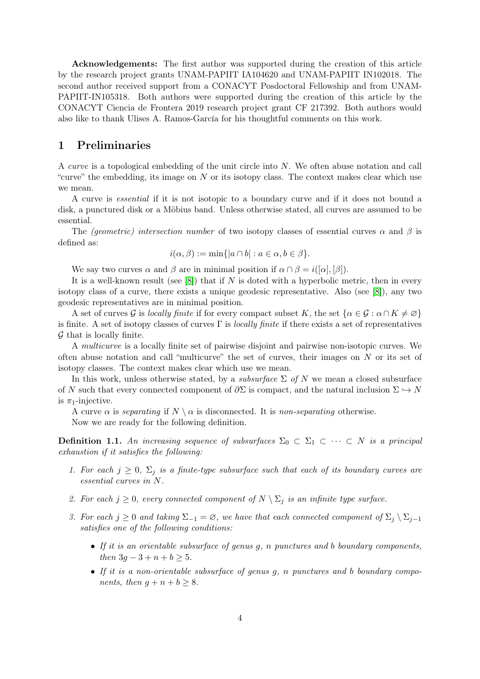Acknowledgements: The first author was supported during the creation of this article by the research project grants UNAM-PAPIIT IA104620 and UNAM-PAPIIT IN102018. The second author received support from a CONACYT Posdoctoral Fellowship and from UNAM-PAPIIT-IN105318. Both authors were supported during the creation of this article by the CONACYT Ciencia de Frontera 2019 research project grant CF 217392. Both authors would also like to thank Ulises A. Ramos-García for his thoughtful comments on this work.

# <span id="page-3-0"></span>1 Preliminaries

A curve is a topological embedding of the unit circle into N. We often abuse notation and call "curve" the embedding, its image on  $N$  or its isotopy class. The context makes clear which use we mean.

A curve is essential if it is not isotopic to a boundary curve and if it does not bound a disk, a punctured disk or a Möbius band. Unless otherwise stated, all curves are assumed to be essential.

The (geometric) intersection number of two isotopy classes of essential curves  $\alpha$  and  $\beta$  is defined as:

$$
i(\alpha, \beta) := \min\{|a \cap b| : a \in \alpha, b \in \beta\}.
$$

We say two curves  $\alpha$  and  $\beta$  are in minimal position if  $\alpha \cap \beta = i([\alpha], [\beta]).$ 

It is a well-known result (see  $[8]$ ) that if N is doted with a hyperbolic metric, then in every isotopy class of a curve, there exists a unique geodesic representative. Also (see [\[8\]](#page-25-0)), any two geodesic representatives are in minimal position.

A set of curves G is locally finite if for every compact subset K, the set  $\{\alpha \in \mathcal{G} : \alpha \cap K \neq \emptyset\}$ is finite. A set of isotopy classes of curves  $\Gamma$  is *locally finite* if there exists a set of representatives  $G$  that is locally finite.

A multicurve is a locally finite set of pairwise disjoint and pairwise non-isotopic curves. We often abuse notation and call "multicurve" the set of curves, their images on  $N$  or its set of isotopy classes. The context makes clear which use we mean.

In this work, unless otherwise stated, by a *subsurface*  $\Sigma$  of N we mean a closed subsurface of N such that every connected component of  $\partial \Sigma$  is compact, and the natural inclusion  $\Sigma \hookrightarrow N$ is  $\pi_1$ -injective.

A curve  $\alpha$  is separating if  $N \setminus \alpha$  is disconnected. It is non-separating otherwise.

Now we are ready for the following definition.

**Definition 1.1.** An increasing sequence of subsurfaces  $\Sigma_0 \subset \Sigma_1 \subset \cdots \subset N$  is a principal exhaustion if it satisfies the following:

- 1. For each  $j \geq 0$ ,  $\Sigma_j$  is a finite-type subsurface such that each of its boundary curves are essential curves in N.
- 2. For each  $j \geq 0$ , every connected component of  $N \setminus \Sigma_j$  is an infinite type surface.
- 3. For each  $j \geq 0$  and taking  $\Sigma_{-1} = \emptyset$ , we have that each connected component of  $\Sigma_i \setminus \Sigma_{i-1}$ satisfies one of the following conditions:
	- If it is an orientable subsurface of genus  $q$ ,  $n$  punctures and b boundary components, then  $3q - 3 + n + b \ge 5$ .
	- If it is a non-orientable subsurface of genus g, n punctures and b boundary components, then  $g + n + b \geq 8$ .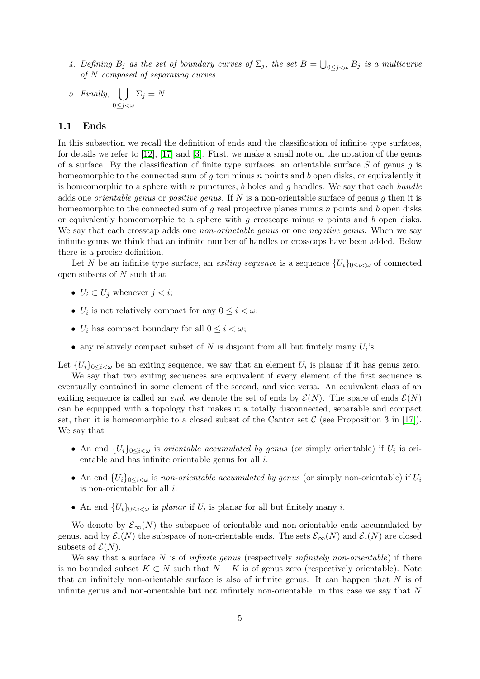- 4. Defining  $B_j$  as the set of boundary curves of  $\Sigma_j$ , the set  $B = \bigcup_{0 \leq j \leq \omega} B_j$  is a multicurve of N composed of separating curves.
- 5. Finally,  $\vert \ \vert$  $0 \leq j < \omega$  $\Sigma_j = N$ .

### 1.1 Ends

In this subsection we recall the definition of ends and the classification of infinite type surfaces, for details we refer to [\[12\]](#page-25-13), [\[17\]](#page-25-14) and [\[3\]](#page-24-2). First, we make a small note on the notation of the genus of a surface. By the classification of finite type surfaces, an orientable surface  $S$  of genus q is homeomorphic to the connected sum of q tori minus n points and b open disks, or equivalently it is homeomorphic to a sphere with n punctures, b holes and g handles. We say that each handle adds one *orientable genus* or *positive genus*. If  $N$  is a non-orientable surface of genus  $g$  then it is homeomorphic to the connected sum of  $q$  real projective planes minus  $n$  points and  $b$  open disks or equivalently homeomorphic to a sphere with  $g$  crosscaps minus  $n$  points and  $b$  open disks. We say that each crosscap adds one *non-orinetable genus* or one *negative genus*. When we say infinite genus we think that an infinite number of handles or crosscaps have been added. Below there is a precise definition.

Let N be an infinite type surface, an exiting sequence is a sequence  $\{U_i\}_{0\leq i\leq \omega}$  of connected open subsets of N such that

- $U_i \subset U_j$  whenever  $j < i$ ;
- $U_i$  is not relatively compact for any  $0 \leq i < \omega$ ;
- $U_i$  has compact boundary for all  $0 \leq i < \omega$ ;
- any relatively compact subset of N is disjoint from all but finitely many  $U_i$ 's.

Let  $\{U_i\}_{0\leq i\leq \omega}$  be an exiting sequence, we say that an element  $U_i$  is planar if it has genus zero.

We say that two exiting sequences are equivalent if every element of the first sequence is eventually contained in some element of the second, and vice versa. An equivalent class of an exiting sequence is called an *end*, we denote the set of ends by  $\mathcal{E}(N)$ . The space of ends  $\mathcal{E}(N)$ can be equipped with a topology that makes it a totally disconnected, separable and compact set, then it is homeomorphic to a closed subset of the Cantor set  $\mathcal C$  (see Proposition 3 in [\[17\]](#page-25-14)). We say that

- An end  $\{U_i\}_{0\leq i\leq \omega}$  is *orientable accumulated by genus* (or simply orientable) if  $U_i$  is orientable and has infinite orientable genus for all i.
- An end  ${U_i}_{0\leq i\leq \omega}$  is non-orientable accumulated by genus (or simply non-orientable) if  $U_i$ is non-orientable for all i.
- An end  $\{U_i\}_{0\leq i\leq \omega}$  is planar if  $U_i$  is planar for all but finitely many i.

We denote by  $\mathcal{E}_{\infty}(N)$  the subspace of orientable and non-orientable ends accumulated by genus, and by  $\mathcal{E}_-(N)$  the subspace of non-orientable ends. The sets  $\mathcal{E}_{\infty}(N)$  and  $\mathcal{E}_-(N)$  are closed subsets of  $\mathcal{E}(N)$ .

We say that a surface N is of *infinite genus* (respectively *infinitely non-orientable*) if there is no bounded subset  $K \subset N$  such that  $N - K$  is of genus zero (respectively orientable). Note that an infinitely non-orientable surface is also of infinite genus. It can happen that  $N$  is of infinite genus and non-orientable but not infinitely non-orientable, in this case we say that N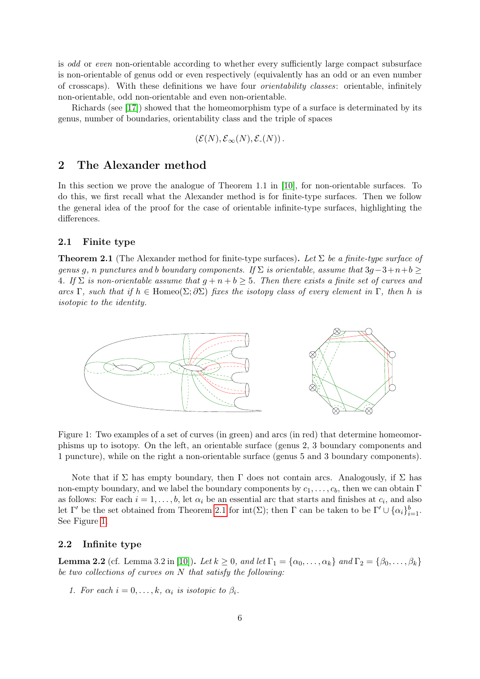is odd or even non-orientable according to whether every sufficiently large compact subsurface is non-orientable of genus odd or even respectively (equivalently has an odd or an even number of crosscaps). With these definitions we have four orientability classes: orientable, infinitely non-orientable, odd non-orientable and even non-orientable.

Richards (see [\[17\]](#page-25-14)) showed that the homeomorphism type of a surface is determinated by its genus, number of boundaries, orientability class and the triple of spaces

$$
(\mathcal{E}(N), \mathcal{E}_{\infty}(N), \mathcal{E}_{\text{-}}(N)).
$$

# 2 The Alexander method

In this section we prove the analogue of Theorem 1.1 in [\[10\]](#page-25-6), for non-orientable surfaces. To do this, we first recall what the Alexander method is for finite-type surfaces. Then we follow the general idea of the proof for the case of orientable infinite-type surfaces, highlighting the differences.

### 2.1 Finite type

<span id="page-5-0"></span>**Theorem 2.1** (The Alexander method for finite-type surfaces). Let  $\Sigma$  be a finite-type surface of genus g, n punctures and b boundary components. If  $\Sigma$  is orientable, assume that  $3q-3+n+b \geq$ 4. If  $\Sigma$  is non-orientable assume that  $q + n + b \geq 5$ . Then there exists a finite set of curves and arcs Γ, such that if  $h \in \text{Homeo}(\Sigma; \partial \Sigma)$  fixes the isotopy class of every element in Γ, then h is isotopic to the identity.



<span id="page-5-1"></span>Figure 1: Two examples of a set of curves (in green) and arcs (in red) that determine homeomorphisms up to isotopy. On the left, an orientable surface (genus 2, 3 boundary components and 1 puncture), while on the right a non-orientable surface (genus 5 and 3 boundary components).

Note that if  $\Sigma$  has empty boundary, then  $\Gamma$  does not contain arcs. Analogously, if  $\Sigma$  has non-empty boundary, and we label the boundary components by  $c_1, \ldots, c_b$ , then we can obtain Γ as follows: For each  $i = 1, \ldots, b$ , let  $\alpha_i$  be an essential arc that starts and finishes at  $c_i$ , and also let  $\Gamma'$  be the set obtained from Theorem [2.1](#page-5-0) for  $\text{int}(\Sigma)$ ; then  $\Gamma$  can be taken to be  $\Gamma' \cup \{\alpha_i\}_{i=1}^b$ . See Figure [1.](#page-5-1)

### 2.2 Infinite type

<span id="page-5-2"></span>**Lemma 2.2** (cf. Lemma 3.2 in [\[10\]](#page-25-6)). Let  $k \geq 0$ , and let  $\Gamma_1 = {\alpha_0, \ldots, \alpha_k}$  and  $\Gamma_2 = {\beta_0, \ldots, \beta_k}$ be two collections of curves on N that satisfy the following:

1. For each  $i = 0, \ldots, k, \alpha_i$  is isotopic to  $\beta_i$ .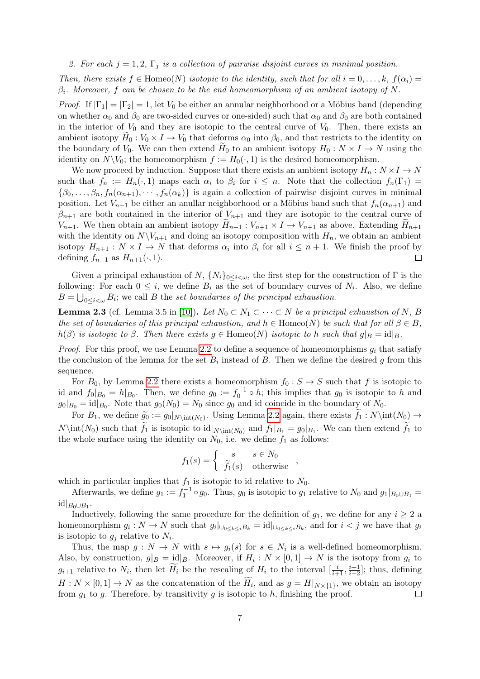2. For each  $j = 1, 2, \Gamma_j$  is a collection of pairwise disjoint curves in minimal position.

Then, there exists  $f \in \text{Homeo}(N)$  isotopic to the identity, such that for all  $i = 0, \ldots, k$ ,  $f(\alpha_i) =$  $\beta_i$ . Moreover, f can be chosen to be the end homeomorphism of an ambient isotopy of N.

*Proof.* If  $|\Gamma_1| = |\Gamma_2| = 1$ , let  $V_0$  be either an annular neighborhood or a Möbius band (depending on whether  $\alpha_0$  and  $\beta_0$  are two-sided curves or one-sided) such that  $\alpha_0$  and  $\beta_0$  are both contained in the interior of  $V_0$  and they are isotopic to the central curve of  $V_0$ . Then, there exists an ambient isotopy  $H_0 : V_0 \times I \to V_0$  that deforms  $\alpha_0$  into  $\beta_0$ , and that restricts to the identity on the boundary of  $V_0$ . We can then extend  $H_0$  to an ambient isotopy  $H_0: N \times I \to N$  using the identity on  $N\backslash V_0$ ; the homeomorphism  $f := H_0(\cdot, 1)$  is the desired homeomorphism.

We now proceed by induction. Suppose that there exists an ambient isotopy  $H_n: N \times I \to N$ such that  $f_n := H_n(\cdot, 1)$  maps each  $\alpha_i$  to  $\beta_i$  for  $i \leq n$ . Note that the collection  $f_n(\Gamma_1)$  $\{\beta_0,\ldots,\beta_n,f_n(\alpha_{n+1}),\cdots,f_n(\alpha_k)\}\$ is again a collection of pairwise disjoint curves in minimal position. Let  $V_{n+1}$  be either an anullar neighborhood or a Möbius band such that  $f_n(\alpha_{n+1})$  and  $\beta_{n+1}$  are both contained in the interior of  $V_{n+1}$  and they are isotopic to the central curve of  $V_{n+1}$ . We then obtain an ambient isotopy  $\widetilde{H}_{n+1} : V_{n+1} \times I \to V_{n+1}$  as above. Extending  $\widetilde{H}_{n+1}$ with the identity on  $N\backslash V_{n+1}$  and doing an isotopy composition with  $H_n$ , we obtain an ambient isotopy  $H_{n+1}: N \times I \to N$  that deforms  $\alpha_i$  into  $\beta_i$  for all  $i \leq n+1$ . We finish the proof by defining  $f_{n+1}$  as  $H_{n+1}(\cdot, 1)$ .  $\Box$ 

Given a principal exhaustion of  $N$ ,  $\{N_i\}_{0\leq i\leq\omega}$ , the first step for the construction of  $\Gamma$  is the following: For each  $0 \leq i$ , we define  $B_i$  as the set of boundary curves of  $N_i$ . Also, we define  $B = \bigcup_{0 \leq i < \omega} B_i$ ; we call B the set boundaries of the principal exhaustion.

<span id="page-6-0"></span>**Lemma 2.3** (cf. Lemma 3.5 in [\[10\]](#page-25-6)). Let  $N_0 \subset N_1 \subset \cdots \subset N$  be a principal exhaustion of N, B the set of boundaries of this principal exhaustion, and  $h \in \text{Homeo}(N)$  be such that for all  $\beta \in B$ ,  $h(\beta)$  is isotopic to  $\beta$ . Then there exists  $q \in \text{Homeo}(N)$  isotopic to h such that  $q|_B = id|_B$ .

*Proof.* For this proof, we use Lemma [2.2](#page-5-2) to define a sequence of homeomorphisms  $q_i$  that satisfy the conclusion of the lemma for the set  $B_i$  instead of B. Then we define the desired g from this sequence.

For  $B_0$ , by Lemma [2.2](#page-5-2) there exists a homeomorphism  $f_0 : S \to S$  such that f is isotopic to id and  $f_0|_{B_0} = h|_{B_0}$ . Then, we define  $g_0 := f_0^{-1} \circ h$ ; this implies that  $g_0$  is isotopic to h and  $g_0|_{B_0} = \mathrm{id}|_{B_0}$ . Note that  $g_0(N_0) = N_0$  since  $g_0$  and id coincide in the boundary of  $N_0$ .

For  $B_1$ , we define  $\widetilde{g}_0 := g_0|_{N\in(N_0)}$ . Using Lemma [2.2](#page-5-2) again, there exists  $f_1 : N\int(N_0) \to$  $N\int(N_0)$  such that  $f_1$  is isotopic to  $\text{id}|_{N\int(N_0)}$  and  $f_1|_{B_1} = g_0|_{B_1}$ . We can then extend  $f_1$  to the whole surface using the identity on  $N_0$ , i.e. we define  $f_1$  as follows:

$$
f_1(s) = \begin{cases} s & s \in N_0 \\ \tilde{f}_1(s) & \text{otherwise} \end{cases}
$$

which in particular implies that  $f_1$  is isotopic to id relative to  $N_0$ .

Afterwards, we define  $g_1 := f_1^{-1} \circ g_0$ . Thus,  $g_0$  is isotopic to  $g_1$  relative to  $N_0$  and  $g_1|_{B_0 \cup B_1}$  $\mathrm{id}|_{B_0\cup B_1}.$ 

Inductively, following the same procedure for the definition of  $g_1$ , we define for any  $i \geq 2$  a homeomorphism  $g_i: N \to N$  such that  $g_i|_{\bigcup_{0 \leq k \leq i} B_k} = id|_{\bigcup_{0 \leq k \leq i} B_k}$ , and for  $i < j$  we have that  $g_i$ is isotopic to  $g_j$  relative to  $N_i$ .

Thus, the map  $g: N \to N$  with  $s \mapsto g_i(s)$  for  $s \in N_i$  is a well-defined homeomorphism. Also, by construction,  $g|_B = id|_B$ . Moreover, if  $H_i : N \times [0,1] \to N$  is the isotopy from  $g_i$  to  $g_{i+1}$  relative to  $N_i$ , then let  $\widetilde{H}_i$  be the rescaling of  $H_i$  to the interval  $\left[\frac{i}{i+1}, \frac{i+1}{i+2}\right]$ ; thus, defining  $H: N \times [0,1] \to N$  as the concatenation of the  $H_i$ , and as  $g = H|_{N \times \{1\}}$ , we obtain an isotopy from  $g_1$  to g. Therefore, by transitivity g is isotopic to h, finishing the proof.  $\Box$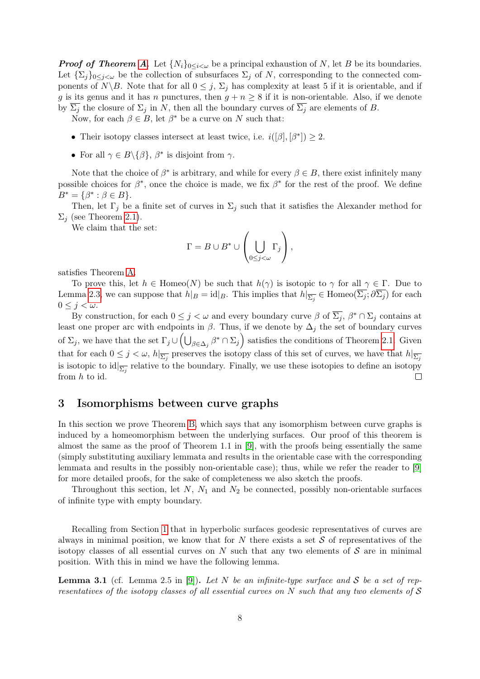**Proof of Theorem [A](#page-1-0).** Let  $\{N_i\}_{0\leq i\leq \omega}$  be a principal exhaustion of N, let B be its boundaries. Let  $\{\Sigma_i\}_{0\leq i\leq \omega}$  be the collection of subsurfaces  $\Sigma_j$  of N, corresponding to the connected components of  $N\setminus B$ . Note that for all  $0 \leq j$ ,  $\Sigma_j$  has complexity at least 5 if it is orientable, and if g is its genus and it has n punctures, then  $g + n \geq 8$  if it is non-orientable. Also, if we denote by  $\Sigma_j$  the closure of  $\Sigma_j$  in N, then all the boundary curves of  $\overline{\Sigma_j}$  are elements of B.

Now, for each  $\beta \in B$ , let  $\beta^*$  be a curve on N such that:

- Their isotopy classes intersect at least twice, i.e.  $i([\beta], [\beta^*]) \geq 2$ .
- For all  $\gamma \in B \setminus \{ \beta \}, \ \beta^*$  is disjoint from  $\gamma$ .

Note that the choice of  $\beta^*$  is arbitrary, and while for every  $\beta \in B$ , there exist infinitely many possible choices for  $\beta^*$ , once the choice is made, we fix  $\beta^*$  for the rest of the proof. We define  $B^* = \{\beta^* : \beta \in B\}.$ 

Then, let  $\Gamma_j$  be a finite set of curves in  $\Sigma_j$  such that it satisfies the Alexander method for  $\Sigma_i$  (see Theorem [2.1\)](#page-5-0).

We claim that the set:

$$
\Gamma = B \cup B^* \cup \left(\bigcup_{0 \le j < \omega} \Gamma_j\right),
$$

satisfies Theorem [A.](#page-1-0)

To prove this, let  $h \in \text{Homeo}(N)$  be such that  $h(\gamma)$  is isotopic to  $\gamma$  for all  $\gamma \in \Gamma$ . Due to Lemma [2.3,](#page-6-0) we can suppose that  $h|_B = id|_B$ . This implies that  $h|_{\overline{\Sigma_j}} \in \text{Homeo}(\overline{\Sigma_j}; \partial \overline{\Sigma_j})$  for each  $0 \leq j < \omega$ .

By construction, for each  $0 \leq j < \omega$  and every boundary curve  $\beta$  of  $\overline{\Sigma_j}$ ,  $\beta^* \cap \Sigma_j$  contains at least one proper arc with endpoints in  $\beta$ . Thus, if we denote by  $\Delta_j$  the set of boundary curves of  $\Sigma_j$ , we have that the set  $\Gamma_j \cup \left(\bigcup_{\beta \in \Delta_j} \beta^* \cap \Sigma_j\right)$  satisfies the conditions of Theorem [2.1.](#page-5-0) Given that for each  $0 \leq j < \omega$ ,  $h|_{\overline{\Sigma_j}}$  preserves the isotopy class of this set of curves, we have that  $h|_{\overline{\Sigma_j}}$ is isotopic to  $\mathrm{id}|_{\overline{\Sigma_j}}$  relative to the boundary. Finally, we use these isotopies to define an isotopy from h to id.  $\Box$ 

# 3 Isomorphisms between curve graphs

In this section we prove Theorem [B,](#page-1-1) which says that any isomorphism between curve graphs is induced by a homeomorphism between the underlying surfaces. Our proof of this theorem is almost the same as the proof of Theorem 1.1 in [\[9\]](#page-25-7), with the proofs being essentially the same (simply substituting auxiliary lemmata and results in the orientable case with the corresponding lemmata and results in the possibly non-orientable case); thus, while we refer the reader to [\[9\]](#page-25-7) for more detailed proofs, for the sake of completeness we also sketch the proofs.

Throughout this section, let  $N$ ,  $N_1$  and  $N_2$  be connected, possibly non-orientable surfaces of infinite type with empty boundary.

Recalling from Section [1](#page-3-0) that in hyperbolic surfaces geodesic representatives of curves are always in minimal position, we know that for N there exists a set  $S$  of representatives of the isotopy classes of all essential curves on  $N$  such that any two elements of  $S$  are in minimal position. With this in mind we have the following lemma.

<span id="page-7-0"></span>**Lemma 3.1** (cf. Lemma 2.5 in [\[9\]](#page-25-7)). Let N be an infinite-type surface and S be a set of representatives of the isotopy classes of all essential curves on  $N$  such that any two elements of  $S$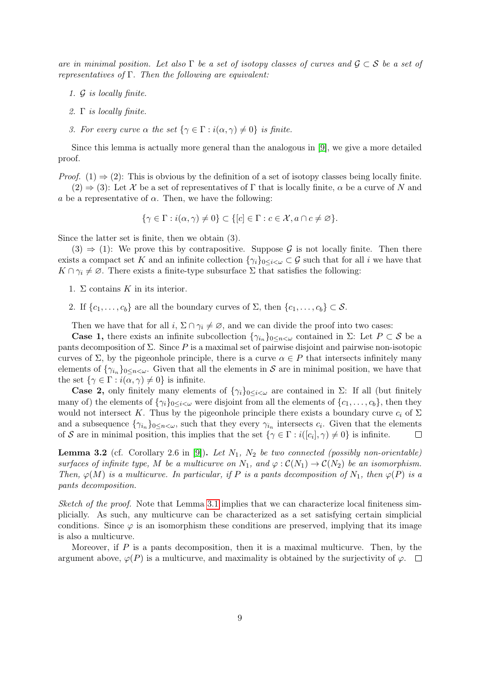are in minimal position. Let also  $\Gamma$  be a set of isotopy classes of curves and  $\mathcal{G} \subset \mathcal{S}$  be a set of representatives of  $\Gamma$ . Then the following are equivalent:

- 1. G is locally finite.
- 2. Γ is locally finite.
- 3. For every curve  $\alpha$  the set  $\{\gamma \in \Gamma : i(\alpha, \gamma) \neq 0\}$  is finite.

Since this lemma is actually more general than the analogous in [\[9\]](#page-25-7), we give a more detailed proof.

*Proof.* (1)  $\Rightarrow$  (2): This is obvious by the definition of a set of isotopy classes being locally finite.  $(2) \Rightarrow (3)$ : Let X be a set of representatives of Γ that is locally finite,  $\alpha$  be a curve of N and

a be a representative of  $\alpha$ . Then, we have the following:

$$
\{\gamma \in \Gamma : i(\alpha, \gamma) \neq 0\} \subset \{[c] \in \Gamma : c \in \mathcal{X}, a \cap c \neq \varnothing\}.
$$

Since the latter set is finite, then we obtain (3).

 $(3) \Rightarrow (1)$ : We prove this by contrapositive. Suppose G is not locally finite. Then there exists a compact set K and an infinite collection  $\{\gamma_i\}_{0\leq i\leq\omega}\subset\mathcal{G}$  such that for all i we have that  $K \cap \gamma_i \neq \emptyset$ . There exists a finite-type subsurface  $\Sigma$  that satisfies the following:

- 1.  $\Sigma$  contains K in its interior.
- 2. If  $\{c_1, \ldots, c_b\}$  are all the boundary curves of  $\Sigma$ , then  $\{c_1, \ldots, c_b\} \subset \mathcal{S}$ .

Then we have that for all  $i, \Sigma \cap \gamma_i \neq \emptyset$ , and we can divide the proof into two cases:

**Case 1,** there exists an infinite subcollection  $\{\gamma_{i_n}\}_{0 \leq n \leq \omega}$  contained in  $\Sigma$ : Let  $P \subset S$  be a pants decomposition of  $\Sigma$ . Since P is a maximal set of pairwise disjoint and pairwise non-isotopic curves of  $\Sigma$ , by the pigeonhole principle, there is a curve  $\alpha \in P$  that intersects infinitely many elements of  $\{\gamma_{i_n}\}_{0 \leq n \leq \omega}$ . Given that all the elements in S are in minimal position, we have that the set  $\{\gamma \in \Gamma : i(\alpha, \gamma) \neq 0\}$  is infinite.

**Case 2,** only finitely many elements of  $\{\gamma_i\}_{0\leq i\leq \omega}$  are contained in  $\Sigma$ : If all (but finitely many of) the elements of  $\{\gamma_i\}_{0\leq i\leq \omega}$  were disjoint from all the elements of  $\{c_1, \ldots, c_b\}$ , then they would not intersect K. Thus by the pigeonhole principle there exists a boundary curve  $c_i$  of  $\Sigma$ and a subsequence  $\{\gamma_{i_n}\}_{0 \leq n \leq \omega}$ , such that they every  $\gamma_{i_n}$  intersects  $c_i$ . Given that the elements of S are in minimal position, this implies that the set  $\{\gamma \in \Gamma : i([c_i], \gamma) \neq 0\}$  is infinite.  $\Box$ 

<span id="page-8-0"></span>**Lemma 3.2** (cf. Corollary 2.6 in [\[9\]](#page-25-7)). Let  $N_1$ ,  $N_2$  be two connected (possibly non-orientable) surfaces of infinite type, M be a multicurve on  $N_1$ , and  $\varphi : C(N_1) \to C(N_2)$  be an isomorphism. Then,  $\varphi(M)$  is a multicurve. In particular, if P is a pants decomposition of  $N_1$ , then  $\varphi(P)$  is a pants decomposition.

Sketch of the proof. Note that Lemma [3.1](#page-7-0) implies that we can characterize local finiteness simplicially. As such, any multicurve can be characterized as a set satisfying certain simplicial conditions. Since  $\varphi$  is an isomorphism these conditions are preserved, implying that its image is also a multicurve.

Moreover, if  $P$  is a pants decomposition, then it is a maximal multicurve. Then, by the argument above,  $\varphi(P)$  is a multicurve, and maximality is obtained by the surjectivity of  $\varphi$ .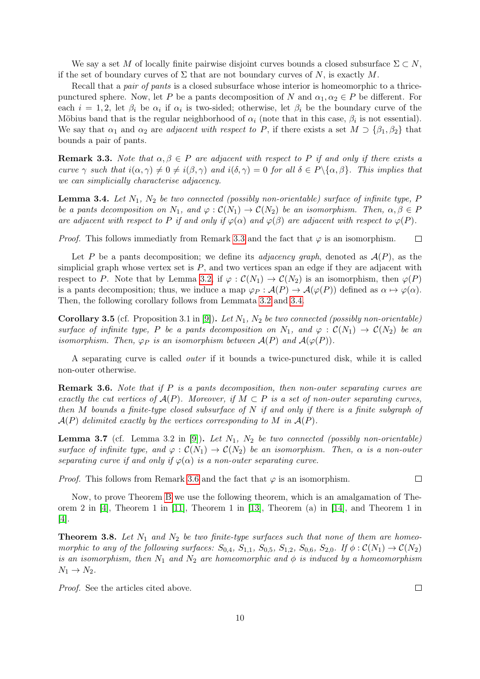We say a set M of locally finite pairwise disjoint curves bounds a closed subsurface  $\Sigma \subset N$ , if the set of boundary curves of  $\Sigma$  that are not boundary curves of N, is exactly M.

Recall that a *pair of pants* is a closed subsurface whose interior is homeomorphic to a thricepunctured sphere. Now, let P be a pants decomposition of N and  $\alpha_1, \alpha_2 \in P$  be different. For each  $i = 1, 2$ , let  $\beta_i$  be  $\alpha_i$  if  $\alpha_i$  is two-sided; otherwise, let  $\beta_i$  be the boundary curve of the Möbius band that is the regular neighborhood of  $\alpha_i$  (note that in this case,  $\beta_i$  is not essential). We say that  $\alpha_1$  and  $\alpha_2$  are *adjacent with respect to P*, if there exists a set  $M \supset {\beta_1, \beta_2}$  that bounds a pair of pants.

<span id="page-9-0"></span>**Remark 3.3.** Note that  $\alpha, \beta \in P$  are adjacent with respect to P if and only if there exists a curve  $\gamma$  such that  $i(\alpha, \gamma) \neq 0 \neq i(\beta, \gamma)$  and  $i(\delta, \gamma) = 0$  for all  $\delta \in P \setminus {\alpha, \beta}$ . This implies that we can simplicially characterise adjacency.

<span id="page-9-1"></span>**Lemma 3.4.** Let  $N_1$ ,  $N_2$  be two connected (possibly non-orientable) surface of infinite type, P be a pants decomposition on  $N_1$ , and  $\varphi : \mathcal{C}(N_1) \to \mathcal{C}(N_2)$  be an isomorphism. Then,  $\alpha, \beta \in P$ are adjacent with respect to P if and only if  $\varphi(\alpha)$  and  $\varphi(\beta)$  are adjacent with respect to  $\varphi(P)$ .

*Proof.* This follows immediatly from Remark [3.3](#page-9-0) and the fact that  $\varphi$  is an isomorphism.  $\Box$ 

Let P be a pants decomposition; we define its *adjacency graph*, denoted as  $\mathcal{A}(P)$ , as the simplicial graph whose vertex set is  $P$ , and two vertices span an edge if they are adjacent with respect to P. Note that by Lemma [3.2,](#page-8-0) if  $\varphi : C(N_1) \to C(N_2)$  is an isomorphism, then  $\varphi(P)$ is a pants decomposition; thus, we induce a map  $\varphi_P : \mathcal{A}(P) \to \mathcal{A}(\varphi(P))$  defined as  $\alpha \mapsto \varphi(\alpha)$ . Then, the following corollary follows from Lemmata [3.2](#page-8-0) and [3.4.](#page-9-1)

<span id="page-9-3"></span>**Corollary 3.5** (cf. Proposition 3.1 in [\[9\]](#page-25-7)). Let  $N_1$ ,  $N_2$  be two connected (possibly non-orientable) surface of infinite type, P be a pants decomposition on  $N_1$ , and  $\varphi : C(N_1) \to C(N_2)$  be an isomorphism. Then,  $\varphi_P$  is an isomorphism between  $\mathcal{A}(P)$  and  $\mathcal{A}(\varphi(P))$ .

A separating curve is called outer if it bounds a twice-punctured disk, while it is called non-outer otherwise.

<span id="page-9-2"></span>**Remark 3.6.** Note that if  $P$  is a pants decomposition, then non-outer separating curves are exactly the cut vertices of  $A(P)$ . Moreover, if  $M \subset P$  is a set of non-outer separating curves, then M bounds a finite-type closed subsurface of N if and only if there is a finite subgraph of  $\mathcal{A}(P)$  delimited exactly by the vertices corresponding to M in  $\mathcal{A}(P)$ .

**Lemma 3.7** (cf. Lemma 3.2 in [\[9\]](#page-25-7)). Let  $N_1$ ,  $N_2$  be two connected (possibly non-orientable) surface of infinite type, and  $\varphi : C(N_1) \to C(N_2)$  be an isomorphism. Then,  $\alpha$  is a non-outer separating curve if and only if  $\varphi(\alpha)$  is a non-outer separating curve.

*Proof.* This follows from Remark [3.6](#page-9-2) and the fact that  $\varphi$  is an isomorphism.

Now, to prove Theorem [B](#page-1-1) we use the following theorem, which is an amalgamation of Theorem 2 in [\[4\]](#page-24-0), Theorem 1 in [\[11\]](#page-25-1), Theorem 1 in [\[13\]](#page-25-2), Theorem (a) in [\[14\]](#page-25-3), and Theorem 1 in [\[4\]](#page-24-0).

<span id="page-9-4"></span>**Theorem 3.8.** Let  $N_1$  and  $N_2$  be two finite-type surfaces such that none of them are homeomorphic to any of the following surfaces:  $S_{0,4}$ ,  $S_{1,1}$ ,  $S_{0,5}$ ,  $S_{1,2}$ ,  $S_{0,6}$ ,  $S_{2,0}$ . If  $\phi$ :  $\mathcal{C}(N_1) \rightarrow \mathcal{C}(N_2)$ is an isomorphism, then  $N_1$  and  $N_2$  are homeomorphic and  $\phi$  is induced by a homeomorphism  $N_1 \rightarrow N_2$ .

Proof. See the articles cited above.

 $\Box$ 

 $\Box$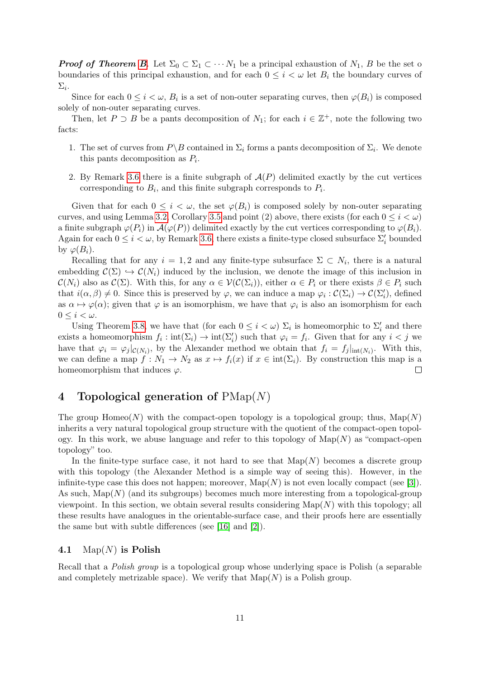**Proof of Theorem [B](#page-1-1).** Let  $\Sigma_0 \subset \Sigma_1 \subset \cdots N_1$  be a principal exhaustion of  $N_1$ , B be the set of boundaries of this principal exhaustion, and for each  $0 \leq i \lt \omega$  let  $B_i$  the boundary curves of  $\Sigma_i.$ 

Since for each  $0 \leq i \lt \omega$ ,  $B_i$  is a set of non-outer separating curves, then  $\varphi(B_i)$  is composed solely of non-outer separating curves.

Then, let  $P \supset B$  be a pants decomposition of  $N_1$ ; for each  $i \in \mathbb{Z}^+$ , note the following two facts:

- 1. The set of curves from  $P \ B$  contained in  $\Sigma_i$  forms a pants decomposition of  $\Sigma_i$ . We denote this pants decomposition as  $P_i$ .
- 2. By Remark [3.6](#page-9-2) there is a finite subgraph of  $A(P)$  delimited exactly by the cut vertices corresponding to  $B_i$ , and this finite subgraph corresponds to  $P_i$ .

Given that for each  $0 \leq i < \omega$ , the set  $\varphi(B_i)$  is composed solely by non-outer separating curves, and using Lemma [3.2,](#page-8-0) Corollary [3.5](#page-9-3) and point (2) above, there exists (for each  $0 \leq i \leq \omega$ ) a finite subgraph  $\varphi(P_i)$  in  $\mathcal{A}(\varphi(P))$  delimited exactly by the cut vertices corresponding to  $\varphi(B_i)$ . Again for each  $0 \le i < \omega$ , by Remark [3.6,](#page-9-2) there exists a finite-type closed subsurface  $\Sigma_i'$  bounded by  $\varphi(B_i)$ .

Recalling that for any  $i = 1, 2$  and any finite-type subsurface  $\Sigma \subset N_i$ , there is a natural embedding  $\mathcal{C}(\Sigma) \hookrightarrow \mathcal{C}(N_i)$  induced by the inclusion, we denote the image of this inclusion in  $\mathcal{C}(N_i)$  also as  $\mathcal{C}(\Sigma)$ . With this, for any  $\alpha \in \mathcal{V}(\mathcal{C}(\Sigma_i))$ , either  $\alpha \in P_i$  or there exists  $\beta \in P_i$  such that  $i(\alpha, \beta) \neq 0$ . Since this is preserved by  $\varphi$ , we can induce a map  $\varphi_i : C(\Sigma_i) \to C(\Sigma'_i)$ , defined as  $\alpha \mapsto \varphi(\alpha)$ ; given that  $\varphi$  is an isomorphism, we have that  $\varphi_i$  is also an isomorphism for each  $0 \leq i < \omega$ .

Using Theorem [3.8,](#page-9-4) we have that (for each  $0 \leq i \lt \omega$ )  $\Sigma_i$  is homeomorphic to  $\Sigma'_i$  and there exists a homeomorphism  $f_i: \text{int}(\Sigma_i) \to \text{int}(\Sigma'_i)$  such that  $\varphi_i = f_i$ . Given that for any  $i < j$  we have that  $\varphi_i = \varphi_j|_{\mathcal{C}(N_i)}$ , by the Alexander method we obtain that  $f_i = f_j|_{\text{int}(N_i)}$ . With this, we can define a map  $f: N_1 \to N_2$  as  $x \mapsto f_i(x)$  if  $x \in \text{int}(\Sigma_i)$ . By construction this map is a homeomorphism that induces  $\varphi$ .  $\Box$ 

# 4 Topological generation of  $\text{PMap}(N)$

The group Homeo(N) with the compact-open topology is a topological group; thus,  $\text{Map}(N)$ inherits a very natural topological group structure with the quotient of the compact-open topology. In this work, we abuse language and refer to this topology of  $\text{Map}(N)$  as "compact-open topology" too.

In the finite-type surface case, it not hard to see that  $\text{Map}(N)$  becomes a discrete group with this topology (the Alexander Method is a simple way of seeing this). However, in the infinite-type case this does not happen; moreover,  $\text{Map}(N)$  is not even locally compact (see [\[3\]](#page-24-2)). As such,  $\text{Map}(N)$  (and its subgroups) becomes much more interesting from a topological-group viewpoint. In this section, we obtain several results considering  $\text{Map}(N)$  with this topology; all these results have analogues in the orientable-surface case, and their proofs here are essentially the same but with subtle differences (see [\[16\]](#page-25-9) and [\[2\]](#page-24-1)).

### 4.1 Map $(N)$  is Polish

Recall that a Polish group is a topological group whose underlying space is Polish (a separable and completely metrizable space). We verify that  $\text{Map}(N)$  is a Polish group.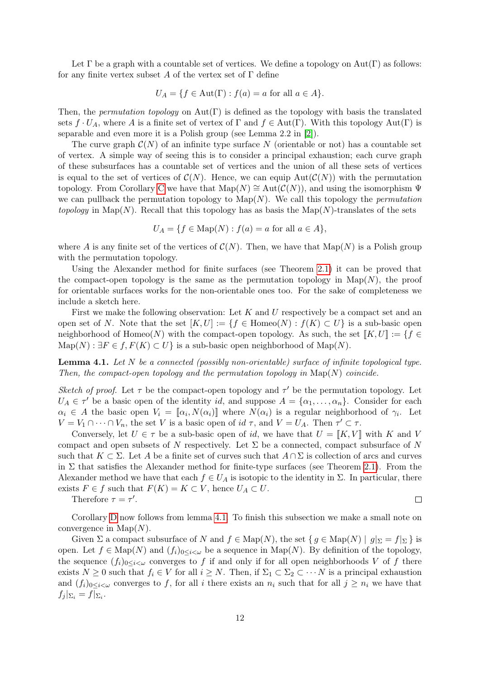Let  $\Gamma$  be a graph with a countable set of vertices. We define a topology on  $Aut(\Gamma)$  as follows: for any finite vertex subset A of the vertex set of  $\Gamma$  define

$$
U_A = \{ f \in Aut(\Gamma) : f(a) = a \text{ for all } a \in A \}.
$$

Then, the *permutation topology* on  $Aut(\Gamma)$  is defined as the topology with basis the translated sets  $f \cdot U_A$ , where A is a finite set of vertex of  $\Gamma$  and  $f \in Aut(\Gamma)$ . With this topology  $Aut(\Gamma)$  is separable and even more it is a Polish group (see Lemma 2.2 in [\[2\]](#page-24-1)).

The curve graph  $\mathcal{C}(N)$  of an infinite type surface N (orientable or not) has a countable set of vertex. A simple way of seeing this is to consider a principal exhaustion; each curve graph of these subsurfaces has a countable set of vertices and the union of all these sets of vertices is equal to the set of vertices of  $\mathcal{C}(N)$ . Hence, we can equip  $Aut(\mathcal{C}(N))$  with the permutation topology. From [C](#page-1-2)orollary C we have that  $\text{Map}(N) \cong \text{Aut}(\mathcal{C}(N))$ , and using the isomorphism  $\Psi$ we can pullback the permutation topology to  $\text{Map}(N)$ . We call this topology the *permutation* topology in Map(N). Recall that this topology has as basis the Map(N)-translates of the sets

$$
U_A = \{ f \in \text{Map}(N) : f(a) = a \text{ for all } a \in A \},
$$

where A is any finite set of the vertices of  $C(N)$ . Then, we have that  $\text{Map}(N)$  is a Polish group with the permutation topology.

Using the Alexander method for finite surfaces (see Theorem [2.1\)](#page-5-0) it can be proved that the compact-open topology is the same as the permutation topology in  $\text{Map}(N)$ , the proof for orientable surfaces works for the non-orientable ones too. For the sake of completeness we include a sketch here.

First we make the following observation: Let  $K$  and  $U$  respectively be a compact set and an open set of N. Note that the set  $[K, U] := \{f \in \text{Homeo}(N) : f(K) \subset U\}$  is a sub-basic open neighborhood of Homeo(N) with the compact-open topology. As such, the set  $[[K, U]] := \{f \in$  $\mathrm{Map}(N) : \exists F \in f, F(K) \subset U$  is a sub-basic open neighborhood of  $\mathrm{Map}(N)$ .

<span id="page-11-0"></span>**Lemma 4.1.** Let  $N$  be a connected (possibly non-orientable) surface of infinite topological type. Then, the compact-open topology and the permutation topology in  $\text{Map}(N)$  coincide.

Sketch of proof. Let  $\tau$  be the compact-open topology and  $\tau'$  be the permutation topology. Let  $U_A \in \tau'$  be a basic open of the identity id, and suppose  $A = {\alpha_1, \ldots, \alpha_n}$ . Consider for each  $\alpha_i \in A$  the basic open  $V_i = [\![\alpha_i, N(\alpha_i)]\!]$  where  $N(\alpha_i)$  is a regular neighborhood of  $\gamma_i$ . Let  $V = V_1 \cap \cdots \cap V_n$ , the set V is a basic open of id  $\tau$ , and  $V = U_A$ . Then  $\tau' \subset \tau$ .

Conversely, let  $U \in \tau$  be a sub-basic open of id, we have that  $U = [K, V]$  with K and V compact and open subsets of N respectively. Let  $\Sigma$  be a connected, compact subsurface of N such that  $K \subset \Sigma$ . Let A be a finite set of curves such that  $A \cap \Sigma$  is collection of arcs and curves in  $\Sigma$  that satisfies the Alexander method for finite-type surfaces (see Theorem [2.1\)](#page-5-0). From the Alexander method we have that each  $f \in U_A$  is isotopic to the identity in  $\Sigma$ . In particular, there exists  $F \in f$  such that  $F(K) = K \subset V$ , hence  $U_A \subset U$ .

Therefore  $\tau = \tau'$ .

 $\Box$ 

Corollary [D](#page-1-3) now follows from lemma [4.1.](#page-11-0) To finish this subsection we make a small note on convergence in  $\text{Map}(N)$ .

Given  $\Sigma$  a compact subsurface of N and  $f \in \text{Map}(N)$ , the set  $\{ g \in \text{Map}(N) \mid g|_{\Sigma} = f|_{\Sigma} \}$  is open. Let  $f \in \text{Map}(N)$  and  $(f_i)_{0 \leq i \leq \omega}$  be a sequence in  $\text{Map}(N)$ . By definition of the topology, the sequence  $(f_i)_{0\leq i\leq\omega}$  converges to f if and only if for all open neighborhoods V of f there exists  $N \geq 0$  such that  $f_i \in V$  for all  $i \geq N$ . Then, if  $\Sigma_1 \subset \Sigma_2 \subset \cdots N$  is a principal exhaustion and  $(f_i)_{0\leq i\leq \omega}$  converges to f, for all i there exists an  $n_i$  such that for all  $j\geq n_i$  we have that  $f_j|_{\Sigma_i}=f|_{\Sigma_i}.$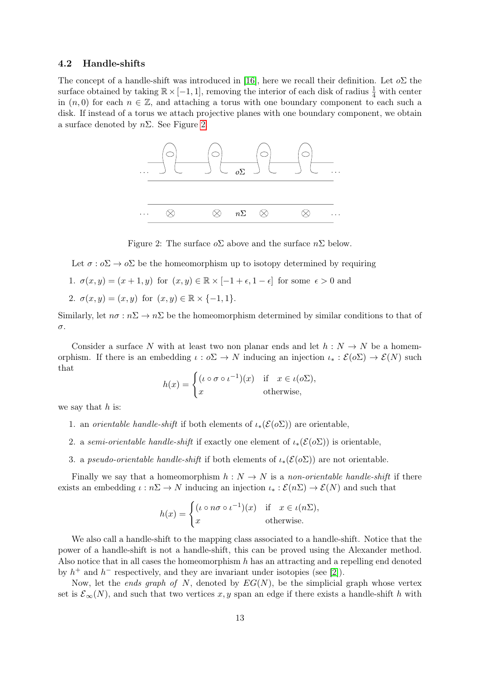### <span id="page-12-0"></span>4.2 Handle-shifts

The concept of a handle-shift was introduced in [\[16\]](#page-25-9), here we recall their definition. Let  $\delta \Sigma$  the surface obtained by taking  $\mathbb{R} \times [-1, 1]$ , removing the interior of each disk of radius  $\frac{1}{4}$  with center in  $(n, 0)$  for each  $n \in \mathbb{Z}$ , and attaching a torus with one boundary component to each such a disk. If instead of a torus we attach projective planes with one boundary component, we obtain a surface denoted by  $n\Sigma$ . See Figure [2.](#page-12-1)



<span id="page-12-1"></span>Figure 2: The surface  $\delta \Sigma$  above and the surface  $n\Sigma$  below.

Let  $\sigma : \rho \Sigma \to \rho \Sigma$  be the homeomorphism up to isotopy determined by requiring

1. 
$$
\sigma(x, y) = (x + 1, y)
$$
 for  $(x, y) \in \mathbb{R} \times [-1 + \epsilon, 1 - \epsilon]$  for some  $\epsilon > 0$  and

2.  $\sigma(x, y) = (x, y)$  for  $(x, y) \in \mathbb{R} \times \{-1, 1\}.$ 

Similarly, let  $n\sigma : n\Sigma \to n\Sigma$  be the homeomorphism determined by similar conditions to that of σ.

Consider a surface N with at least two non planar ends and let  $h : N \to N$  be a homemorphism. If there is an embedding  $\iota : o\Sigma \to N$  inducing an injection  $\iota_* : \mathcal{E}(o\Sigma) \to \mathcal{E}(N)$  such that

$$
h(x) = \begin{cases} (\iota \circ \sigma \circ \iota^{-1})(x) & \text{if } x \in \iota(\sigma \Sigma), \\ x & \text{otherwise,} \end{cases}
$$

we say that  $h$  is:

- 1. an *orientable handle-shift* if both elements of  $\iota_*(\mathcal{E}(o\Sigma))$  are orientable,
- 2. a semi-orientable handle-shift if exactly one element of  $\iota_*(\mathcal{E}(o\Sigma))$  is orientable,
- 3. a *pseudo-orientable handle-shift* if both elements of  $\iota_*(\mathcal{E}(o\Sigma))$  are not orientable.

Finally we say that a homeomorphism  $h: N \to N$  is a non-orientable handle-shift if there exists an embedding  $\iota : n\Sigma \to N$  inducing an injection  $\iota_* : \mathcal{E}(n\Sigma) \to \mathcal{E}(N)$  and such that

$$
h(x) = \begin{cases} (\iota \circ n\sigma \circ \iota^{-1})(x) & \text{if } x \in \iota(n\Sigma), \\ x & \text{otherwise.} \end{cases}
$$

We also call a handle-shift to the mapping class associated to a handle-shift. Notice that the power of a handle-shift is not a handle-shift, this can be proved using the Alexander method. Also notice that in all cases the homeomorphism  $h$  has an attracting and a repelling end denoted by  $h^+$  and  $h^-$  respectively, and they are invariant under isotopies (see [\[2\]](#page-24-1)).

Now, let the *ends graph of N*, denoted by  $EG(N)$ , be the simplicial graph whose vertex set is  $\mathcal{E}_{\infty}(N)$ , and such that two vertices x, y span an edge if there exists a handle-shift h with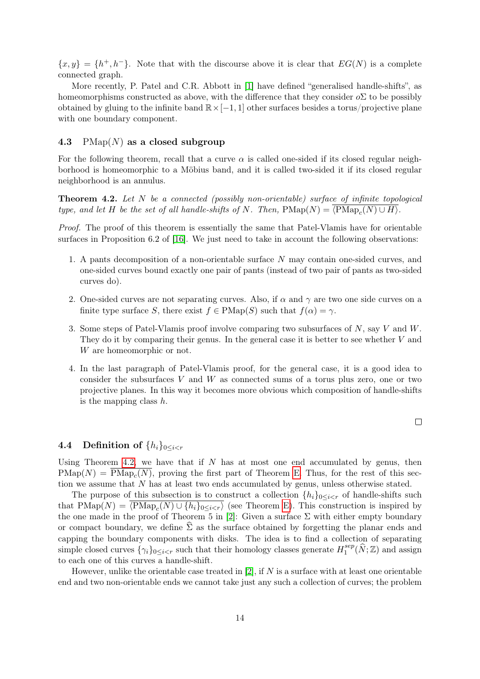${x, y} = {h<sup>+</sup>, h<sup>-</sup>}$ . Note that with the discourse above it is clear that  $EG(N)$  is a complete connected graph.

More recently, P. Patel and C.R. Abbott in [\[1\]](#page-24-3) have defined "generalised handle-shifts", as homeomorphisms constructed as above, with the difference that they consider  $\delta \Sigma$  to be possibly obtained by gluing to the infinite band  $\mathbb{R} \times [-1, 1]$  other surfaces besides a torus/projective plane with one boundary component.

### 4.3 PMap $(N)$  as a closed subgroup

For the following theorem, recall that a curve  $\alpha$  is called one-sided if its closed regular neighborhood is homeomorphic to a Möbius band, and it is called two-sided it if its closed regular neighborhood is an annulus.

<span id="page-13-1"></span>**Theorem 4.2.** Let  $N$  be a connected (possibly non-orientable) surface of infinite topological type, and let H be the set of all handle-shifts of N. Then,  $\text{PMap}_c(N) = \langle \text{PMap}_c(N) \cup H \rangle$ .

Proof. The proof of this theorem is essentially the same that Patel-Vlamis have for orientable surfaces in Proposition 6.2 of [\[16\]](#page-25-9). We just need to take in account the following observations:

- 1. A pants decomposition of a non-orientable surface N may contain one-sided curves, and one-sided curves bound exactly one pair of pants (instead of two pair of pants as two-sided curves do).
- 2. One-sided curves are not separating curves. Also, if  $\alpha$  and  $\gamma$  are two one side curves on a finite type surface S, there exist  $f \in \text{PMap}(S)$  such that  $f(\alpha) = \gamma$ .
- 3. Some steps of Patel-Vlamis proof involve comparing two subsurfaces of  $N$ , say  $V$  and  $W$ . They do it by comparing their genus. In the general case it is better to see whether  $V$  and W are homeomorphic or not.
- 4. In the last paragraph of Patel-Vlamis proof, for the general case, it is a good idea to consider the subsurfaces  $V$  and  $W$  as connected sums of a torus plus zero, one or two projective planes. In this way it becomes more obvious which composition of handle-shifts is the mapping class  $h$ .

 $\Box$ 

### <span id="page-13-0"></span>4.4 Definition of  $\{h_i\}_{0\leq i\leq r}$

Using Theorem [4.2,](#page-13-1) we have that if  $N$  has at most one end accumulated by genus, then  $\text{PMap}(N) = \text{PMap}_c(N)$ , proving the first part of Theorem [E.](#page-2-0) Thus, for the rest of this section we assume that N has at least two ends accumulated by genus, unless otherwise stated.

The purpose of this subsection is to construct a collection  $\{h_i\}_{0\leq i\leq r}$  of handle-shifts such that  $\text{PMap}(N) = \langle \text{PMap}_c(N) \cup \{h_i\}_{0 \leq i \leq r} \rangle$  (see Theorem [E\)](#page-2-0). This construction is inspired by the one made in the proof of Theorem 5 in [\[2\]](#page-24-1): Given a surface  $\Sigma$  with either empty boundary or compact boundary, we define  $\Sigma$  as the surface obtained by forgetting the planar ends and capping the boundary components with disks. The idea is to find a collection of separating simple closed curves  $\{\gamma_i\}_{0 \leq i \leq r}$  such that their homology classes generate  $H_1^{sep}$  $\Lambda_1^{sep}(\widehat{N}; \mathbb{Z})$  and assign to each one of this curves a handle-shift.

However, unlike the orientable case treated in  $[2]$ , if N is a surface with at least one orientable end and two non-orientable ends we cannot take just any such a collection of curves; the problem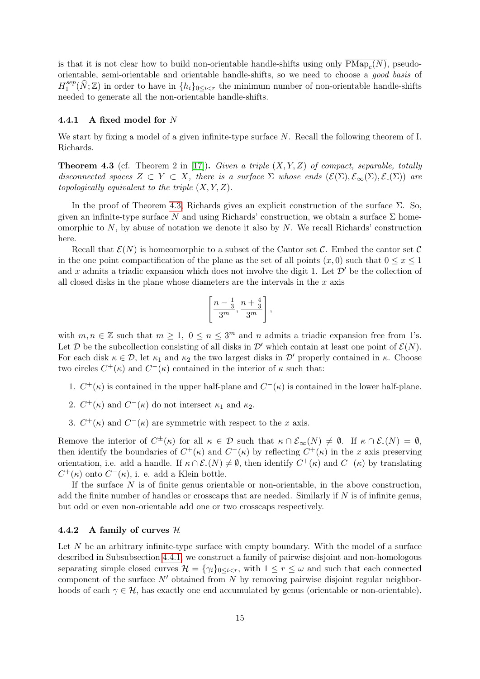is that it is not clear how to build non-orientable handle-shifts using only  $\text{PMap}_c(N)$ , pseudoorientable, semi-orientable and orientable handle-shifts, so we need to choose a good basis of  $H_1^{sep}$  $\{S^{sep}_1(\widehat{N}; \mathbb{Z})\}$  in order to have in  $\{h_i\}_{0\leq i\leq r}$  the minimum number of non-orientable handle-shifts needed to generate all the non-orientable handle-shifts.

### <span id="page-14-1"></span>4.4.1 A fixed model for N

We start by fixing a model of a given infinite-type surface N. Recall the following theorem of I. Richards.

<span id="page-14-0"></span>**Theorem 4.3** (cf. Theorem 2 in [\[17\]](#page-25-14)). Given a triple  $(X, Y, Z)$  of compact, separable, totally disconnected spaces  $Z \subset Y \subset X$ , there is a surface  $\Sigma$  whose ends  $(\mathcal{E}(\Sigma), \mathcal{E}_{\infty}(\Sigma), \mathcal{E}_{-}(\Sigma))$  are topologically equivalent to the triple  $(X, Y, Z)$ .

In the proof of Theorem [4.3,](#page-14-0) Richards gives an explicit construction of the surface  $\Sigma$ . So, given an infinite-type surface N and using Richards' construction, we obtain a surface  $\Sigma$  homeomorphic to  $N$ , by abuse of notation we denote it also by  $N$ . We recall Richards' construction here.

Recall that  $\mathcal{E}(N)$  is homeomorphic to a subset of the Cantor set C. Embed the cantor set C in the one point compactification of the plane as the set of all points  $(x, 0)$  such that  $0 \le x \le 1$ and x admits a triadic expansion which does not involve the digit 1. Let  $\mathcal{D}'$  be the collection of all closed disks in the plane whose diameters are the intervals in the  $x$  axis

$$
\left[\frac{n-\frac{1}{3}}{3^m}, \frac{n+\frac{4}{3}}{3^m}\right],
$$

with  $m, n \in \mathbb{Z}$  such that  $m \geq 1, 0 \leq n \leq 3^m$  and n admits a triadic expansion free from 1's. Let  $\mathcal D$  be the subcollection consisting of all disks in  $\mathcal D'$  which contain at least one point of  $\mathcal E(N)$ . For each disk  $\kappa \in \mathcal{D}$ , let  $\kappa_1$  and  $\kappa_2$  the two largest disks in  $\mathcal{D}'$  properly contained in  $\kappa$ . Choose two circles  $C^+(\kappa)$  and  $C^-(\kappa)$  contained in the interior of  $\kappa$  such that:

- 1.  $C^+(\kappa)$  is contained in the upper half-plane and  $C^-(\kappa)$  is contained in the lower half-plane.
- 2.  $C^+(\kappa)$  and  $C^-(\kappa)$  do not intersect  $\kappa_1$  and  $\kappa_2$ .
- 3.  $C^+(\kappa)$  and  $C^-(\kappa)$  are symmetric with respect to the x axis.

Remove the interior of  $C^{\pm}(\kappa)$  for all  $\kappa \in \mathcal{D}$  such that  $\kappa \cap \mathcal{E}_{\infty}(N) \neq \emptyset$ . If  $\kappa \cap \mathcal{E}_{-}(N) = \emptyset$ , then identify the boundaries of  $C^+(\kappa)$  and  $C^-(\kappa)$  by reflecting  $C^+(\kappa)$  in the x axis preserving orientation, i.e. add a handle. If  $\kappa \cap \mathcal{E}(N) \neq \emptyset$ , then identify  $C^+(\kappa)$  and  $C^-(\kappa)$  by translating  $C^+(\kappa)$  onto  $C^-(\kappa)$ , i. e. add a Klein bottle.

If the surface  $N$  is of finite genus orientable or non-orientable, in the above construction, add the finite number of handles or crosscaps that are needed. Similarly if  $N$  is of infinite genus, but odd or even non-orientable add one or two crosscaps respectively.

### <span id="page-14-2"></span>4.4.2 A family of curves  $H$

Let  $N$  be an arbitrary infinite-type surface with empty boundary. With the model of a surface described in Subsubsection [4.4.1,](#page-14-1) we construct a family of pairwise disjoint and non-homologous separating simple closed curves  $\mathcal{H} = \{\gamma_i\}_{0 \leq i \leq r}$ , with  $1 \leq r \leq \omega$  and such that each connected component of the surface  $N'$  obtained from N by removing pairwise disjoint regular neighborhoods of each  $\gamma \in \mathcal{H}$ , has exactly one end accumulated by genus (orientable or non-orientable).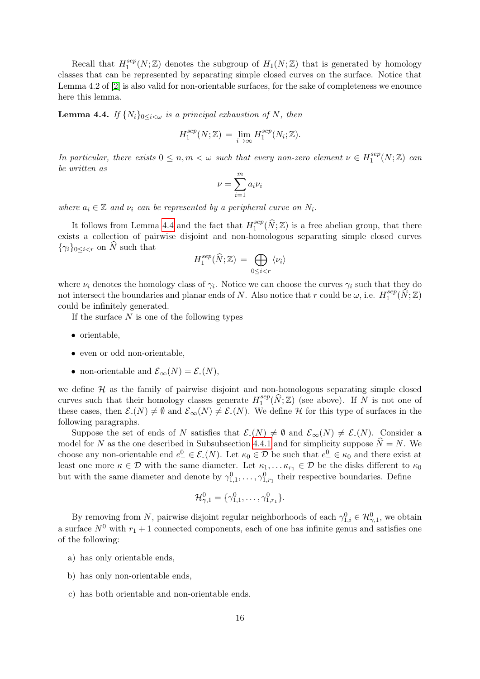Recall that  $H_1^{sep}$  $1^{sep}(N;\mathbb{Z})$  denotes the subgroup of  $H_1(N;\mathbb{Z})$  that is generated by homology classes that can be represented by separating simple closed curves on the surface. Notice that Lemma 4.2 of [\[2\]](#page-24-1) is also valid for non-orientable surfaces, for the sake of completeness we enounce here this lemma.

<span id="page-15-0"></span>**Lemma 4.4.** If  $\{N_i\}_{0\leq i\leq \omega}$  is a principal exhaustion of N, then

$$
H_1^{sep}(N; \mathbb{Z}) = \lim_{i \to \infty} H_1^{sep}(N_i; \mathbb{Z}).
$$

In particular, there exists  $0 \leq n, m < \omega$  such that every non-zero element  $\nu \in H_1^{sep}$  $i_1^{sep}(N;\mathbb{Z})$  can be written as

$$
\nu = \sum_{i=1}^{m} a_i \nu_i
$$

where  $a_i \in \mathbb{Z}$  and  $\nu_i$  can be represented by a peripheral curve on  $N_i$ .

It follows from Lemma [4.4](#page-15-0) and the fact that  $H_1^{sep}$  $1^{sep}(\widehat{N}; \mathbb{Z})$  is a free abelian group, that there exists a collection of pairwise disjoint and non-homologous separating simple closed curves  $\{\gamma_i\}_{0\leq i < r}$  on  $\widehat{N}$  such that

$$
H_1^{sep}(\widehat{N};\mathbb{Z}) = \bigoplus_{0 \leq i < r} \langle \nu_i \rangle
$$

where  $\nu_i$  denotes the homology class of  $\gamma_i$ . Notice we can choose the curves  $\gamma_i$  such that they do not intersect the boundaries and planar ends of N. Also notice that r could be  $\omega$ , i.e.  $H_1^{sep}$  $\Omega_1^{sep}(\widehat{N};\mathbb{Z})$ could be infinitely generated.

If the surface  $N$  is one of the following types

- orientable,
- even or odd non-orientable,
- non-orientable and  $\mathcal{E}_{\infty}(N) = \mathcal{E}_{-}(N),$

we define  $H$  as the family of pairwise disjoint and non-homologous separating simple closed curves such that their homology classes generate  $H_1^{sep}$  $1^{\text{sep}}(\widehat{N}; \mathbb{Z})$  (see above). If N is not one of these cases, then  $\mathcal{E}_-(N) \neq \emptyset$  and  $\mathcal{E}_{\infty}(N) \neq \mathcal{E}_-(N)$ . We define H for this type of surfaces in the following paragraphs.

Suppose the set of ends of N satisfies that  $\mathcal{E}_-(N) \neq \emptyset$  and  $\mathcal{E}_{\infty}(N) \neq \mathcal{E}_-(N)$ . Consider a model for N as the one described in Subsubsection [4.4.1](#page-14-1) and for simplicity suppose  $N = N$ . We choose any non-orientable end  $e_-^0 \in \mathcal{E}_-(N)$ . Let  $\kappa_0 \in \mathcal{D}$  be such that  $e_-^0 \in \kappa_0$  and there exist at least one more  $\kappa \in \mathcal{D}$  with the same diameter. Let  $\kappa_1, \ldots, \kappa_{r_1} \in \mathcal{D}$  be the disks different to  $\kappa_0$ but with the same diameter and denote by  $\gamma_{1,1}^0, \ldots, \gamma_{1,r_1}^0$  their respective boundaries. Define

$$
\mathcal{H}_{\gamma,1}^0 = \{ \gamma_{1,1}^0, \ldots, \gamma_{1,r_1}^0 \}.
$$

By removing from N, pairwise disjoint regular neighborhoods of each  $\gamma_{1,i}^0 \in \mathcal{H}_{\gamma,1}^0$ , we obtain a surface  $N^0$  with  $r_1 + 1$  connected components, each of one has infinite genus and satisfies one of the following:

- a) has only orientable ends,
- b) has only non-orientable ends,
- c) has both orientable and non-orientable ends.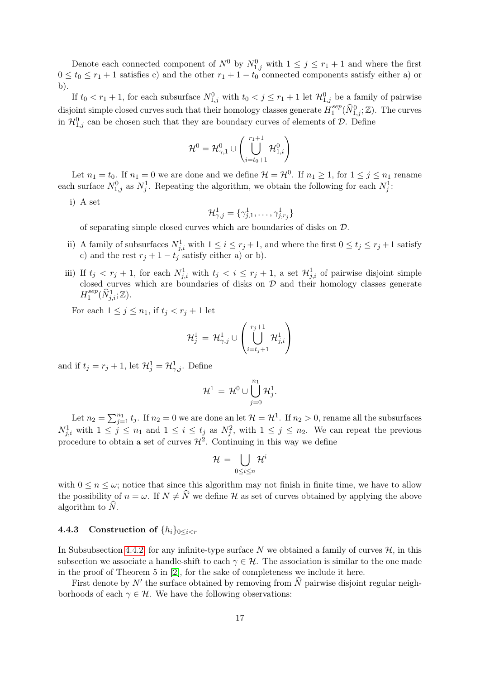Denote each connected component of  $N^0$  by  $N^0_{1,j}$  with  $1 \leq j \leq r_1 + 1$  and where the first  $0 \le t_0 \le r_1 + 1$  satisfies c) and the other  $r_1 + 1 - t_0$  connected components satisfy either a) or b).

If  $t_0 < r_1 + 1$ , for each subsurface  $N_{1,j}^0$  with  $t_0 < j \leq r_1 + 1$  let  $\mathcal{H}_{1,j}^0$  be a family of pairwise disjoint simple closed curves such that their homology classes generate  $H_1^{sep}$  $\prod_{1}^{sep}(\widehat{N}_{1,j}^0;\mathbb{Z})$ . The curves in  $\mathcal{H}_{1,j}^0$  can be chosen such that they are boundary curves of elements of  $\mathcal{D}$ . Define

$$
\mathcal{H}^0 = \mathcal{H}^0_{\gamma,1} \cup \left( \bigcup_{i=t_0+1}^{r_1+1} \mathcal{H}^0_{1,i} \right)
$$

Let  $n_1 = t_0$ . If  $n_1 = 0$  we are done and we define  $\mathcal{H} = \mathcal{H}^0$ . If  $n_1 \geq 1$ , for  $1 \leq j \leq n_1$  rename each surface  $N_{1,j}^0$  as  $N_j^1$ . Repeating the algorithm, we obtain the following for each  $N_j^1$ :

i) A set

$$
\mathcal{H}_{\gamma,j}^1=\{\gamma_{j,1}^1,\ldots,\gamma_{j,r_j}^1\}
$$

of separating simple closed curves which are boundaries of disks on D.

- ii) A family of subsurfaces  $N_{j,i}^1$  with  $1 \leq i \leq r_j + 1$ , and where the first  $0 \leq t_j \leq r_j + 1$  satisfy c) and the rest  $r_j + 1 - t_j$  satisfy either a) or b).
- iii) If  $t_j < r_j + 1$ , for each  $N_{j,i}^1$  with  $t_j < i \leq r_j + 1$ , a set  $\mathcal{H}_{j,i}^1$  of pairwise disjoint simple closed curves which are boundaries of disks on  $D$  and their homology classes generate  $H_1^{sep}$  $i^{sep}_1(\widehat{N}^1_{j,i};{\Bbb Z}).$

For each  $1 \leq j \leq n_1$ , if  $t_j < r_j + 1$  let

$$
\mathcal{H}_j^1 \,=\, \mathcal{H}_{\gamma,j}^1 \cup \left(\bigcup_{i=t_j+1}^{r_j+1} \mathcal{H}_{j,i}^1\right)
$$

and if  $t_j = r_j + 1$ , let  $\mathcal{H}_j^1 = \mathcal{H}_{\gamma,j}^1$ . Define

$$
\mathcal{H}^1\,=\,\mathcal{H}^0\cup\bigcup_{j=0}^{n_1}\mathcal{H}^1_j.
$$

Let  $n_2 = \sum_{j=1}^{n_1} t_j$ . If  $n_2 = 0$  we are done an let  $\mathcal{H} = \mathcal{H}^1$ . If  $n_2 > 0$ , rename all the subsurfaces  $N_{j,i}^1$  with  $1 \leq j \leq n_1$  and  $1 \leq i \leq t_j$  as  $N_j^2$ , with  $1 \leq j \leq n_2$ . We can repeat the previous procedure to obtain a set of curves  $\mathcal{H}^2$ . Continuing in this way we define

$$
\mathcal{H} \,=\, \bigcup_{0\leq i\leq n} \mathcal{H}^i
$$

with  $0 \leq n \leq \omega$ ; notice that since this algorithm may not finish in finite time, we have to allow the possibility of  $n = \omega$ . If  $N \neq \hat{N}$  we define H as set of curves obtained by applying the above algorithm to  $\hat{N}$ .

### <span id="page-16-0"></span>4.4.3 Construction of  $\{h_i\}_{0\leq i\leq r}$

In Subsubsection [4.4.2,](#page-14-2) for any infinite-type surface  $N$  we obtained a family of curves  $H$ , in this subsection we associate a handle-shift to each  $\gamma \in \mathcal{H}$ . The association is similar to the one made in the proof of Theorem 5 in [\[2\]](#page-24-1), for the sake of completeness we include it here.

First denote by  $N'$  the surface obtained by removing from  $\widehat{N}$  pairwise disjoint regular neighborhoods of each  $\gamma \in \mathcal{H}$ . We have the following observations: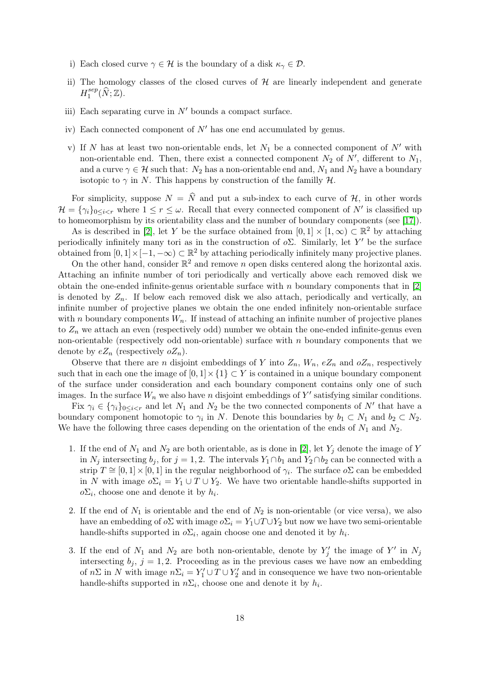- i) Each closed curve  $\gamma \in \mathcal{H}$  is the boundary of a disk  $\kappa_{\gamma} \in \mathcal{D}$ .
- ii) The homology classes of the closed curves of  $H$  are linearly independent and generate  $H_1^{sep}$  $i_1^{sep}(\widehat{N}; \mathbb{Z}).$
- iii) Each separating curve in  $N'$  bounds a compact surface.
- iv) Each connected component of  $N'$  has one end accumulated by genus.
- v) If N has at least two non-orientable ends, let  $N_1$  be a connected component of  $N'$  with non-orientable end. Then, there exist a connected component  $N_2$  of  $N'$ , different to  $N_1$ , and a curve  $\gamma \in \mathcal{H}$  such that:  $N_2$  has a non-orientable end and,  $N_1$  and  $N_2$  have a boundary isotopic to  $\gamma$  in N. This happens by construction of the familly  $\mathcal{H}$ .

For simplicity, suppose  $N = \hat{N}$  and put a sub-index to each curve of H, in other words  $\mathcal{H} = \{\gamma_i\}_{0 \leq i < r}$  where  $1 \leq r \leq \omega$ . Recall that every connected component of N' is classified up to homeomorphism by its orientability class and the number of boundary components (see [\[17\]](#page-25-14)).

As is described in [\[2\]](#page-24-1), let Y be the surface obtained from  $[0,1] \times [1,\infty) \subset \mathbb{R}^2$  by attaching periodically infinitely many tori as in the construction of  $o\Sigma$ . Similarly, let Y' be the surface obtained from  $[0,1] \times [-1,-\infty) \subset \mathbb{R}^2$  by attaching periodically infinitely many projective planes.

On the other hand, consider  $\mathbb{R}^2$  and remove n open disks centered along the horizontal axis. Attaching an infinite number of tori periodically and vertically above each removed disk we obtain the one-ended infinite-genus orientable surface with  $n$  boundary components that in [\[2\]](#page-24-1) is denoted by  $Z_n$ . If below each removed disk we also attach, periodically and vertically, an infinite number of projective planes we obtain the one ended infinitely non-orientable surface with n boundary components  $W_n$ . If instead of attaching an infinite number of projective planes to  $Z_n$  we attach an even (respectively odd) number we obtain the one-ended infinite-genus even non-orientable (respectively odd non-orientable) surface with  $n$  boundary components that we denote by  $eZ_n$  (respectively  $oZ_n$ ).

Observe that there are *n* disjoint embeddings of Y into  $Z_n$ ,  $W_n$ ,  $eZ_n$  and  $oZ_n$ , respectively such that in each one the image of  $[0, 1] \times \{1\} \subset Y$  is contained in a unique boundary component of the surface under consideration and each boundary component contains only one of such images. In the surface  $W_n$  we also have n disjoint embeddings of  $Y'$  satisfying similar conditions.

Fix  $\gamma_i \in {\gamma_i}_{0 \leq i < r}$  and let  $N_1$  and  $N_2$  be the two connected components of N' that have a boundary component homotopic to  $\gamma_i$  in N. Denote this boundaries by  $b_1 \subset N_1$  and  $b_2 \subset N_2$ . We have the following three cases depending on the orientation of the ends of  $N_1$  and  $N_2$ .

- 1. If the end of  $N_1$  and  $N_2$  are both orientable, as is done in [\[2\]](#page-24-1), let  $Y_i$  denote the image of Y in  $N_j$  intersecting  $b_j$ , for  $j = 1, 2$ . The intervals  $Y_1 \cap b_1$  and  $Y_2 \cap b_2$  can be connected with a strip  $T \cong [0,1] \times [0,1]$  in the regular neighborhood of  $\gamma_i$ . The surface  $o\Sigma$  can be embedded in N with image  $o\Sigma_i = Y_1 \cup T \cup Y_2$ . We have two orientable handle-shifts supported in  $o\Sigma_i$ , choose one and denote it by  $h_i$ .
- 2. If the end of  $N_1$  is orientable and the end of  $N_2$  is non-orientable (or vice versa), we also have an embedding of  $o\Sigma$  with image  $o\Sigma_i = Y_1 \cup T \cup Y_2$  but now we have two semi-orientable handle-shifts supported in  $o\Sigma_i$ , again choose one and denoted it by  $h_i$ .
- 3. If the end of  $N_1$  and  $N_2$  are both non-orientable, denote by  $Y'_j$  the image of  $Y'$  in  $N_j$ intersecting  $b_i$ ,  $j = 1, 2$ . Proceeding as in the previous cases we have now an embedding of  $n\Sigma$  in N with image  $n\Sigma_i = Y_1' \cup T \cup Y_2'$  and in consequence we have two non-orientable handle-shifts supported in  $n\Sigma_i$ , choose one and denote it by  $h_i$ .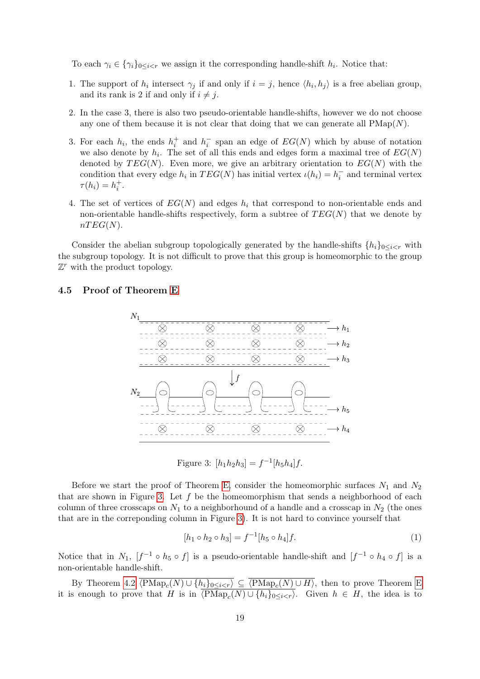To each  $\gamma_i \in {\gamma_i}_{0 \leq i < r}$  we assign it the corresponding handle-shift  $h_i$ . Notice that:

- 1. The support of  $h_i$  intersect  $\gamma_j$  if and only if  $i = j$ , hence  $\langle h_i, h_j \rangle$  is a free abelian group, and its rank is 2 if and only if  $i \neq j$ .
- 2. In the case 3, there is also two pseudo-orientable handle-shifts, however we do not choose any one of them because it is not clear that doing that we can generate all  $\text{PMap}(N)$ .
- 3. For each  $h_i$ , the ends  $h_i^+$  and  $h_i^-$  span an edge of  $EG(N)$  which by abuse of notation we also denote by  $h_i$ . The set of all this ends and edges form a maximal tree of  $EG(N)$ denoted by  $TEG(N)$ . Even more, we give an arbitrary orientation to  $EG(N)$  with the condition that every edge  $h_i$  in  $TEG(N)$  has initial vertex  $\iota(h_i) = h_i^-$  and terminal vertex  $\tau(h_i) = h_i^+$ .
- 4. The set of vertices of  $EG(N)$  and edges  $h_i$  that correspond to non-orientable ends and non-orientable handle-shifts respectively, form a subtree of  $TEG(N)$  that we denote by  $nTEG(N).$

Consider the abelian subgroup topologically generated by the handle-shifts  $\{h_i\}_{0\leq i\leq r}$  with the subgroup topology. It is not difficult to prove that this group is homeomorphic to the group  $\mathbb{Z}^r$  with the product topology.

## 4.5 Proof of Theorem [E](#page-2-0)



<span id="page-18-0"></span>Figure 3:  $[h_1h_2h_3] = f^{-1}[h_5h_4]f$ .

Before we start the proof of Theorem [E,](#page-2-0) consider the homeomorphic surfaces  $N_1$  and  $N_2$ that are shown in Figure [3.](#page-18-0) Let  $f$  be the homeomorphism that sends a neighborhood of each column of three crosscaps on  $N_1$  to a neighborhound of a handle and a crosscap in  $N_2$  (the ones that are in the correponding column in Figure [3\)](#page-18-0). It is not hard to convince yourself that

<span id="page-18-1"></span>
$$
[h_1 \circ h_2 \circ h_3] = f^{-1}[h_5 \circ h_4]f. \tag{1}
$$

Notice that in  $N_1$ ,  $[f^{-1} \circ h_5 \circ f]$  is a pseudo-orientable handle-shift and  $[f^{-1} \circ h_4 \circ f]$  is a non-orientable handle-shift.

By Theorem [4.2](#page-13-1)  $\langle \text{PMap}_c(N) \cup \{h_i\}_{0 \leq i \leq r} \rangle \subseteq \langle \text{PMap}_c(N) \cup H \rangle$ , then to prove Theorem [E](#page-2-0) it is enough to prove that H is in  $\langle \text{PMap}_c(N) \cup \{h_i\}_{0 \leq i \leq r} \rangle$ . Given  $h \in H$ , the idea is to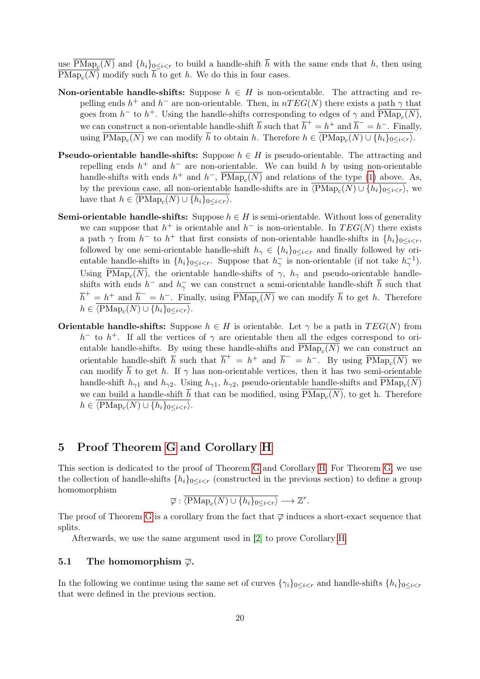use  $\text{PMap}_c(N)$  and  $\{h_i\}_{0\leq i < r}$  to build a handle-shift h with the same ends that h, then using  $\text{PMap}_c(N)$  modify such h to get h. We do this in four cases.

- Non-orientable handle-shifts: Suppose  $h \in H$  is non-orientable. The attracting and repelling ends  $h^+$  and  $h^-$  are non-orientable. Then, in  $nTEG(N)$  there exists a path  $\gamma$  that goes from  $h^-$  to  $h^+$ . Using the handle-shifts corresponding to edges of  $\gamma$  and  $\overline{\text{PMap}_c(N)}$ , we can construct a non-orientable handle-shift  $\overline{h}$  such that  $\overline{h}^+ = h^+$  and  $\overline{h}^- = h^-$ . Finally, using  $\text{PMap}_c(N)$  we can modify h to obtain h. Therefore  $h \in \langle \text{PMap}_c(N) \cup \{h_i\}_{0 \leq i \leq r} \rangle$ .
- **Pseudo-orientable handle-shifts:** Suppose  $h \in H$  is pseudo-orientable. The attracting and repelling ends  $h^+$  and  $h^-$  are non-orientable. We can build h by using non-orientable handle-shifts with ends  $h^+$  and  $h^-$ ,  $\overline{P\mathrm{Map}_c(N)}$  and relations of the type [\(1\)](#page-18-1) above. As, by the previous case, all non-orientable handle-shifts are in  $\langle \text{PMap}_c(N) \cup \{h_i\}_{0 \leq i \leq r} \rangle$ , we have that  $h \in \langle \text{PMap}_c(N) \cup \{h_i\}_{0 \leq i < r} \rangle$ .
- Semi-orientable handle-shifts: Suppose  $h \in H$  is semi-orientable. Without loss of generality we can suppose that  $h^+$  is orientable and  $h^-$  is non-orientable. In  $TEG(N)$  there exists a path  $\gamma$  from  $h^-$  to  $h^+$  that first consists of non-orientable handle-shifts in  $\{h_i\}_{0\leq i < r}$ , followed by one semi-orientable handle-shift  $h_{\gamma} \in \{h_i\}_{0 \leq i \leq r}$  and finally followed by orientable handle-shifts in  $\{h_i\}_{0 \leq i \leq r}$ . Suppose that  $h_{\gamma}$  is non-orientable (if not take  $h_{\gamma}^{-1}$ ). Using PMap<sub>c</sub>(N), the orientable handle-shifts of  $\gamma$ ,  $h_{\gamma}$  and pseudo-orientable handleshifts with ends  $h^-$  and  $h^-_\gamma$  we can construct a semi-orientable handle-shift  $\bar{h}$  such that  $\overline{h}^+ = h^+$  and  $\overline{h}^- = h^-$ . Finally, using  $\overline{P \text{Map}_c(N)}$  we can modify  $\overline{h}$  to get h. Therefore  $h \in \langle \text{PMap}_c(N) \cup \{h_i\}_{0 \leq i < r} \rangle.$
- **Orientable handle-shifts:** Suppose  $h \in H$  is orientable. Let  $\gamma$  be a path in  $TEG(N)$  from  $h^-$  to  $h^+$ . If all the vertices of  $\gamma$  are orientable then all the edges correspond to orientable handle-shifts. By using these handle-shifts and  $\text{PMap}_c(N)$  we can construct an orientable handle-shift  $\overline{h}$  such that  $\overline{h}^+ = h^+$  and  $\overline{h}^- = h^-$ . By using  $\overline{P\text{Map}_c(N)}$  we can modify  $\bar{h}$  to get h. If  $\gamma$  has non-orientable vertices, then it has two semi-orientable handle-shift  $h_{\gamma 1}$  and  $h_{\gamma 2}$ . Using  $h_{\gamma 1}$ ,  $h_{\gamma 2}$ , pseudo-orientable handle-shifts and PMap<sub>c</sub>(N) we can build a handle-shift h that can be modified, using  $\text{PMap}_c(N)$ , to get h. Therefore  $h \in \langle \text{PMap}_c(N) \cup \{h_i\}_{0 \leq i < r} \rangle.$

# 5 Proof Theorem [G](#page-2-1) and Corollary [H](#page-2-2)

This section is dedicated to the proof of Theorem [G](#page-2-1) and Corollary [H.](#page-2-2) For Theorem [G,](#page-2-1) we use the collection of handle-shifts  $\{h_i\}_{0\leq i < r}$  (constructed in the previous section) to define a group homomorphism

$$
\overline{\varphi} : \overline{\langle \text{PMap}_c(N) \cup \{h_i\}_{0 \leq i < r}} \longrightarrow \mathbb{Z}^r.
$$

The proof of Theorem [G](#page-2-1) is a corollary from the fact that  $\overline{\varphi}$  induces a short-exact sequence that splits.

Afterwards, we use the same argument used in [\[2\]](#page-24-1) to prove Corollary [H.](#page-2-2)

### 5.1 The homomorphism  $\overline{\varphi}$ .

In the following we continue using the same set of curves  $\{\gamma_i\}_{0\leq i\leq r}$  and handle-shifts  $\{h_i\}_{0\leq i\leq r}$ that were defined in the previous section.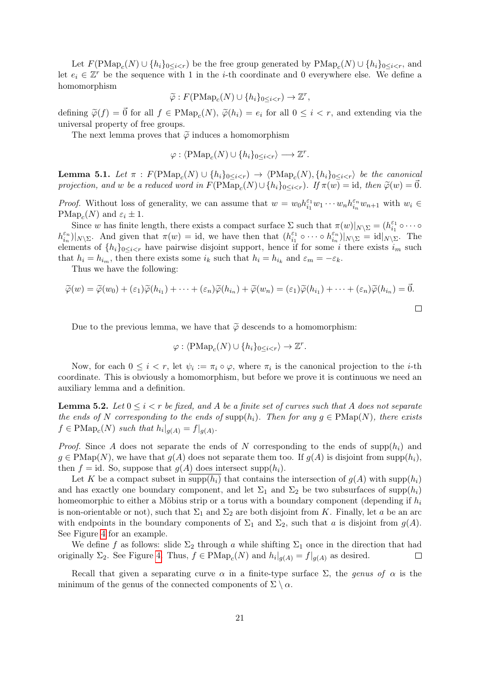Let  $F(\text{PMap}_c(N) \cup \{h_i\}_{0 \leq i \leq r})$  be the free group generated by  $\text{PMap}_c(N) \cup \{h_i\}_{0 \leq i \leq r}$ , and let  $e_i \in \mathbb{Z}^r$  be the sequence with 1 in the *i*-th coordinate and 0 everywhere else. We define a homomorphism

$$
\widetilde{\varphi}: F(\mathrm{PMap}_c(N) \cup \{h_i\}_{0 \leq i < r}) \to \mathbb{Z}^r,
$$

defining  $\tilde{\varphi}(f) = \vec{0}$  for all  $f \in \text{PMap}_c(N)$ ,  $\tilde{\varphi}(h_i) = e_i$  for all  $0 \le i < r$ , and extending via the universal property of free groups.

The next lemma proves that  $\tilde{\varphi}$  induces a homomorphism

$$
\varphi: \langle \mathrm{PMap}_c(N) \cup \{h_i\}_{0 \le i < r} \rangle \longrightarrow \mathbb{Z}^r.
$$

**Lemma 5.1.** Let  $\pi$  :  $F(\text{PMap}_c(N) \cup \{h_i\}_{0 \leq i < r}) \rightarrow \langle \text{PMap}_c(N), \{h_i\}_{0 \leq i < r} \rangle$  be the canonical projection, and w be a reduced word in  $F(\text{PMap}_c(N) \cup \{h_i\}_{0 \leq i < r})$ . If  $\pi(w) = \text{id}$ , then  $\widetilde{\varphi}(w) = \vec{0}$ .

*Proof.* Without loss of generality, we can assume that  $w = w_0 h_{i_1}^{\varepsilon_1}$  $\sum_{i_1}^{\varepsilon_1} w_1 \cdots w_n h_{i_n}^{\varepsilon_n}$  $\sum_{i_n}^{\varepsilon_n} w_{n+1}$  with  $w_i \in$  $\text{PMap}_c(N)$  and  $\varepsilon_i \pm 1$ .

Since w has finite length, there exists a compact surface  $\Sigma$  such that  $\pi(w)|_{N\setminus\Sigma} = (h_{i_1}^{\varepsilon_1})$  $\frac{\varepsilon_1}{i_1} \circ \cdots \circ$  $h_{i_n}^{\varepsilon_n}$  $\binom{\varepsilon_n}{i_n}$ |<sub>N\</sub><sub>Σ</sub>. And given that  $\pi(w) = id$ , we have then that  $(h_{i_1}^{\varepsilon_1})$  $\frac{\varepsilon_1}{i_1} \circ \cdots \circ h_{i_n}^{\varepsilon_n}$  $\frac{\varepsilon_n}{i_n}$ )|<sub>N\ $\sum$ </sub> = id|<sub>N\ $\Sigma$ </sub>. The elements of  $\{h_i\}_{0\leq i\leq r}$  have pairwise disjoint support, hence if for some i there exists  $i_m$  such that  $h_i = h_{i_m}$ , then there exists some  $i_k$  such that  $h_i = h_{i_k}$  and  $\varepsilon_m = -\varepsilon_k$ .

Thus we have the following:

$$
\widetilde{\varphi}(w) = \widetilde{\varphi}(w_0) + (\varepsilon_1)\widetilde{\varphi}(h_{i_1}) + \cdots + (\varepsilon_n)\widetilde{\varphi}(h_{i_n}) + \widetilde{\varphi}(w_n) = (\varepsilon_1)\widetilde{\varphi}(h_{i_1}) + \cdots + (\varepsilon_n)\widetilde{\varphi}(h_{i_n}) = \vec{0}.
$$

Due to the previous lemma, we have that  $\tilde{\varphi}$  descends to a homomorphism:

$$
\varphi: \langle \mathrm{PMap}_c(N) \cup \{h_i\}_{0 \le i < r} \rangle \to \mathbb{Z}^r.
$$

Now, for each  $0 \leq i < r$ , let  $\psi_i := \pi_i \circ \varphi$ , where  $\pi_i$  is the canonical projection to the *i*-th coordinate. This is obviously a homomorphism, but before we prove it is continuous we need an auxiliary lemma and a definition.

<span id="page-20-0"></span>**Lemma 5.2.** Let  $0 \leq i < r$  be fixed, and A be a finite set of curves such that A does not separate the ends of N corresponding to the ends of supp $(h_i)$ . Then for any  $g \in \text{PMap}(N)$ , there exists  $f \in \text{PMap}_c(N)$  such that  $h_i|_{g(A)} = f|_{g(A)}$ .

*Proof.* Since A does not separate the ends of N corresponding to the ends of  $\text{supp}(h_i)$  and  $g \in \text{PMap}(N)$ , we have that  $g(A)$  does not separate them too. If  $g(A)$  is disjoint from supp $(h_i)$ , then  $f = id$ . So, suppose that  $g(A)$  does intersect supp $(h_i)$ .

Let K be a compact subset in supp $(h_i)$  that contains the intersection of  $g(A)$  with supp $(h_i)$ and has exactly one boundary component, and let  $\Sigma_1$  and  $\Sigma_2$  be two subsurfaces of supp $(h_i)$ homeomorphic to either a Möbius strip or a torus with a boundary component (depending if  $h_i$ is non-orientable or not), such that  $\Sigma_1$  and  $\Sigma_2$  are both disjoint from K. Finally, let a be an arc with endpoints in the boundary components of  $\Sigma_1$  and  $\Sigma_2$ , such that a is disjoint from  $g(A)$ . See Figure [4](#page-21-0) for an example.

We define f as follows: slide  $\Sigma_2$  through a while shifting  $\Sigma_1$  once in the direction that had originally  $\Sigma_2$ . See Figure [4.](#page-21-0) Thus,  $f \in \text{PMap}_c(N)$  and  $h_i|_{g(A)} = f|_{g(A)}$  as desired.  $\Box$ 

Recall that given a separating curve  $\alpha$  in a finite-type surface  $\Sigma$ , the genus of  $\alpha$  is the minimum of the genus of the connected components of  $\Sigma \setminus \alpha$ .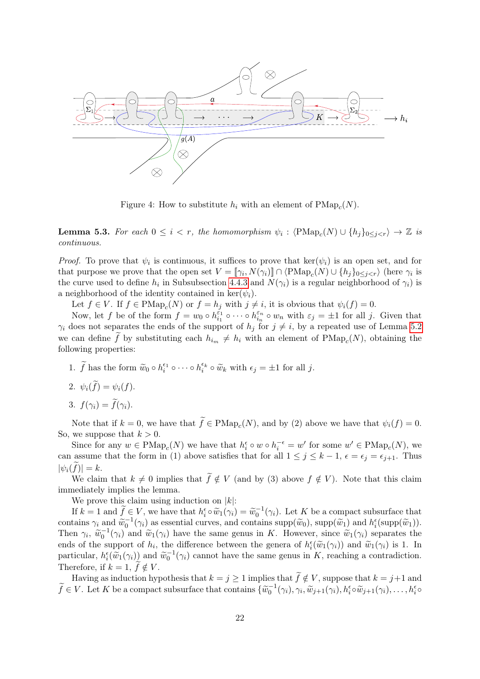

<span id="page-21-0"></span>Figure 4: How to substitute  $h_i$  with an element of  $\text{PMap}_c(N)$ .

<span id="page-21-1"></span>**Lemma 5.3.** For each  $0 \leq i < r$ , the homomorphism  $\psi_i : \langle \text{PMap}_c(N) \cup \{h_j\}_{0 \leq j < r} \rangle \to \mathbb{Z}$  is continuous.

*Proof.* To prove that  $\psi_i$  is continuous, it suffices to prove that  $\ker(\psi_i)$  is an open set, and for that purpose we prove that the open set  $V = [\![\gamma_i, N(\gamma_i)]\!] \cap \langle \text{PMap}_c(N) \cup \{h_j\}_{0 \leq j \leq r} \rangle$  (here  $\gamma_i$  is the curve used to define  $h_i$  in Subsubsection [4.4.3](#page-16-0) and  $N(\gamma_i)$  is a regular neighborhood of  $\gamma_i$ ) is a neighborhood of the identity contained in ker $(\psi_i)$ .

Let  $f \in V$ . If  $f \in \text{PMap}_c(N)$  or  $f = h_j$  with  $j \neq i$ , it is obvious that  $\psi_i(f) = 0$ .

Now, let f be of the form  $f = w_0 \circ h_{i_1}^{\varepsilon_1}$  $\frac{\varepsilon_1}{i_1}\circ\cdots\circ h_{i_n}^{\varepsilon_n}$  $\frac{\varepsilon_n}{i_n} \circ w_n$  with  $\varepsilon_j = \pm 1$  for all j. Given that  $\gamma_i$  does not separates the ends of the support of  $h_j$  for  $j \neq i$ , by a repeated use of Lemma [5.2](#page-20-0) we can define f by substituting each  $h_{i_m} \neq h_i$  with an element of  $\text{PMap}_c(N)$ , obtaining the following properties:

1.  $\tilde{f}$  has the form  $\tilde{w}_0 \circ h_i^{\epsilon_1} \circ \cdots \circ h_i^{\epsilon_k} \circ \tilde{w}_k$  with  $\epsilon_j = \pm 1$  for all j.

- 2.  $\psi_i(\tilde{f}) = \psi_i(f)$ .
- 3.  $f(\gamma_i) = \tilde{f}(\gamma_i)$ .

Note that if  $k = 0$ , we have that  $f \in \text{PMap}_c(N)$ , and by (2) above we have that  $\psi_i(f) = 0$ . So, we suppose that  $k > 0$ .

Since for any  $w \in \text{PMap}_c(N)$  we have that  $h_i^{\epsilon} \circ w \circ h_i^{-\epsilon} = w'$  for some  $w' \in \text{PMap}_c(N)$ , we can assume that the form in (1) above satisfies that for all  $1 \leq j \leq k-1$ ,  $\epsilon = \epsilon_j = \epsilon_{j+1}$ . Thus  $|\psi_i(\tilde{f})| = k.$ 

We claim that  $k \neq 0$  implies that  $\widetilde{f} \notin V$  (and by (3) above  $f \notin V$ ). Note that this claim immediately implies the lemma.

We prove this claim using induction on  $|k|$ :

If  $k = 1$  and  $\tilde{f} \in V$ , we have that  $h_i^{\epsilon} \circ \tilde{w}_1(\gamma_i) = \tilde{w}_0^{-1}(\gamma_i)$ . Let K be a compact subsurface that contains  $\gamma_i$  and  $\widetilde{w}_0^{-1}(\gamma_i)$  as essential curves, and contains  $\text{supp}(\widetilde{w}_0)$ ,  $\text{supp}(\widetilde{w}_1)$  and  $h_i^{\epsilon}(\text{supp}(\widetilde{w}_1)).$ <br>Then  $\gamma_i \widetilde{w}_1^{-1}(\gamma_i)$  and  $\widetilde{w}_i(\gamma_i)$  have the same same in K. However, since Then  $\gamma_i$ ,  $\widetilde{w}_0^{-1}(\gamma_i)$  and  $\widetilde{w}_1(\gamma_i)$  have the same genus in K. However, since  $\widetilde{w}_1(\gamma_i)$  separates the ends of the support of  $h_i$ , the difference between the genera of  $h_i^{\epsilon}(\tilde{w}_1(\gamma_i))$  and  $\tilde{w}_1(\gamma_i)$  is 1. In particular,  $h^{\epsilon}(\tilde{w}_i(\alpha_i))$  and  $\tilde{w}_1(\alpha_i)$  cannot be game game game in K, reaching a contradiction particular,  $h_i^{\epsilon}(\tilde{w}_1(\gamma_i))$  and  $\tilde{w}_0^{-1}(\gamma_i)$  cannot have the same genus in K, reaching a contradiction. Therefore, if  $k = 1, f \notin V$ .

Having as induction hypothesis that  $k = j \ge 1$  implies that  $\widetilde{f} \notin V$ , suppose that  $k = j+1$  and  $\widetilde{f} \in V$ . Let K be a compact subsurface that contains  $\{\widetilde{w}_0^{-1}(\gamma_i), \gamma_i, \widetilde{w}_{j+1}(\gamma_i), h_i^{\epsilon} \circ \widetilde{w}_{j+1}(\gamma_i), \dots, h_i^{\epsilon} \circ \widetilde{w}_{j+1}(\gamma_i)\}$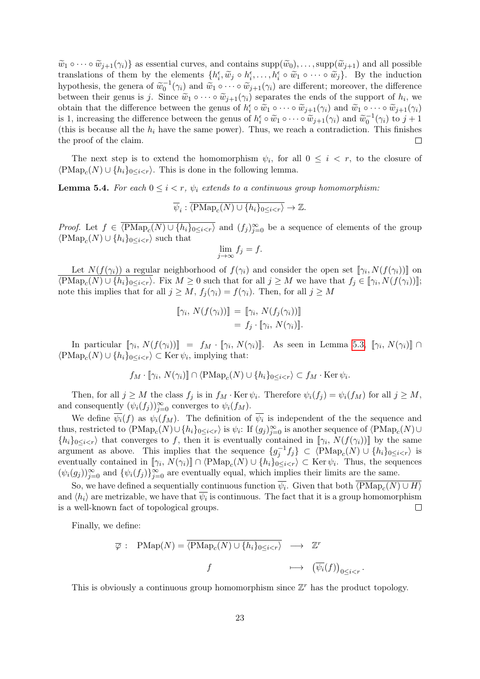$\widetilde{w}_1 \circ \cdots \circ \widetilde{w}_{i+1}(\gamma_i)$  as essential curves, and contains  $\text{supp}(\widetilde{w}_0), \ldots, \text{supp}(\widetilde{w}_{i+1})$  and all possible translations of them by the elements  $\{h_i^{\epsilon}, \tilde{w}_j \circ h_i^{\epsilon}, \ldots, h_i^{\epsilon} \circ \tilde{w}_1 \circ \cdots \circ \tilde{w}_j\}$ . By the induction<br>hypothesis, the gapes of  $\tilde{w}_i^{-1}(\alpha)$  and  $\tilde{w}_i \circ \tilde{w}_j(\alpha)$  are different; mereover, the differenc hypothesis, the genera of  $\widetilde{w}_0^{-1}(\gamma_i)$  and  $\widetilde{w}_1 \circ \cdots \circ \widetilde{w}_{j+1}(\gamma_i)$  are different; moreover, the difference between their genus is j. Since  $\widetilde{w}_1 \circ \cdots \circ \widetilde{w}_{j+1}(\gamma_i)$  separates the ends of the support of  $h_i$ , we obtain that the difference between the same of  $h_i^{\epsilon} \circ \widetilde{w}_i \circ \cdots \circ \widetilde{w}_{j+1}(\alpha_j)$  and  $\widetilde{w}_i \circ \cdots \circ \wid$ obtain that the difference between the genus of  $h_i^{\epsilon} \circ \widetilde{w}_1 \circ \cdots \circ \widetilde{w}_{j+1}(\gamma_i)$  and  $\widetilde{w}_1 \circ \cdots \circ \widetilde{w}_{j+1}(\gamma_i)$ <br>is 1 increasing the difference between the genus of  $h_i^{\epsilon} \circ \widetilde{w}_i \circ \cdots \circ \widetilde{w}_{j+1}(\gamma_i)$  an is 1, increasing the difference between the genus of  $h_i^{\epsilon} \circ \tilde{w}_1 \circ \cdots \circ \tilde{w}_{j+1}(\gamma_i)$  and  $\tilde{w}_0^{-1}(\gamma_i)$  to  $j+1$ <br>(this is because all the h, bare the same power). Thus, we reach a sontradiction. This finishes (this is because all the  $h_i$  have the same power). Thus, we reach a contradiction. This finishes the proof of the claim.  $\Box$ 

The next step is to extend the homomorphism  $\psi_i$ , for all  $0 \leq i \leq r$ , to the closure of  $\langle \text{PMap}_c(N) \cup \{h_i\}_{0 \leq i < r} \rangle$ . This is done in the following lemma.

**Lemma 5.4.** For each  $0 \leq i < r$ ,  $\psi_i$  extends to a continuous group homomorphism:

$$
\overline{\psi}_i : \overline{\langle \text{PMap}_c(N) \cup \{h_i\}_{0 \leq i < r}} \to \mathbb{Z}.
$$

*Proof.* Let  $f \in \overline{\langle \text{PMap}_c(N) \cup \{h_i\}_{0 \leq i \leq r}\rangle}$  and  $(f_j)_{j=0}^{\infty}$  be a sequence of elements of the group  $\langle \text{PMap}_c(N) \cup \{h_i\}_{0 \leq i < r} \rangle$  such that

$$
\lim_{j \to \infty} f_j = f.
$$

Let  $N(f(\gamma_i))$  a regular neighborhood of  $f(\gamma_i)$  and consider the open set  $[\![\gamma_i, N(f(\gamma_i))]$  on  $\{\text{PMap}_c(N) \cup \{h_i\}_{0 \leq i \leq r}\}\$ . Fix  $M \geq 0$  such that for all  $j \geq M$  we have that  $f_j \in [\![\gamma_i, N(f(\gamma_i))] \!]$ ; note this implies that for all  $j \geq M$ ,  $f_j(\gamma_i) = f(\gamma_i)$ . Then, for all  $j \geq M$ 

$$
\llbracket \gamma_i, N(f(\gamma_i)) \rrbracket = \llbracket \gamma_i, N(f_j(\gamma_i)) \rrbracket = f_j \cdot \llbracket \gamma_i, N(\gamma_i) \rrbracket.
$$

In particular  $[\![\gamma_i, N(f(\gamma_i))] \!] = f_M \cdot [\![\gamma_i, N(\gamma_i)]\!]$ . As seen in Lemma [5.3,](#page-21-1)  $[\![\gamma_i, N(\gamma_i)]\!] \cap$  $\langle \text{PMap}_c(N) \cup \{h_i\}_{0 \leq i < r} \rangle \subset \text{Ker } \psi_i$ , implying that:

$$
f_M \cdot [\![\gamma_i, N(\gamma_i)]\!] \cap \langle \text{PMap}_c(N) \cup \{h_i\}_{0 \leq i < r} \rangle \subset f_M \cdot \text{Ker } \psi_i.
$$

Then, for all  $j \geq M$  the class  $f_j$  is in  $f_M$ . Ker  $\psi_i$ . Therefore  $\psi_i(f_j) = \psi_i(f_M)$  for all  $j \geq M$ , and consequently  $(\psi_i(f_j))_{j=0}^{\infty}$  converges to  $\psi_i(f_M)$ .

We define  $\psi_i(f)$  as  $\psi_i(f_M)$ . The definition of  $\psi_i$  is independent of the the sequence and thus, restricted to  $\langle \text{PMap}_c(N) \cup \{h_i\}_{0 \leq i < r} \rangle$  is  $\psi_i$ : If  $(g_j)_{j=0}^{\infty}$  is another sequence of  $\langle \text{PMap}_c(N) \cup \{h_i\}_{0 \leq i < r} \rangle$  $\{h_i\}_{0\leq i\leq r}\rangle$  that converges to f, then it is eventually contained in  $[\![\gamma_i, N(f(\gamma_i))]$  by the same argument as above. This implies that the sequence  $\{g_j^{-1}f_j\} \subset \langle \text{PMap}_c(N) \cup \{h_i\}_{0 \leq i \leq r} \rangle$  is eventually contained in  $[\![\gamma_i, N(\gamma_i)]\!] \cap \langle \text{PMap}_c(N) \cup \{h_i\}_{0 \leq i \leq r} \rangle \subset \text{Ker } \psi_i$ . Thus, the sequences  $(\psi_i(g_j))_{j=0}^{\infty}$  and  $\{\psi_i(f_j)\}_{j=0}^{\infty}$  are eventually equal, which implies their limits are the same.

So, we have defined a sequentially continuous function  $\overline{\psi_i}$ . Given that both  $\langle \text{PMap}_c(N) \cup H \rangle$ and  $\langle h_i \rangle$  are metrizable, we have that  $\psi_i$  is continuous. The fact that it is a group homomorphism is a well-known fact of topological groups.  $\Box$ 

Finally, we define:

$$
\overline{\varphi} : \text{PMap}(N) = \overline{\langle \text{PMap}_c(N) \cup \{h_i\}_{0 \le i < r}} \longrightarrow \mathbb{Z}^r
$$
\n
$$
f \longmapsto (\overline{\psi_i}(f))_{0 \le i < r}.
$$

This is obviously a continuous group homomorphism since  $\mathbb{Z}^r$  has the product topology.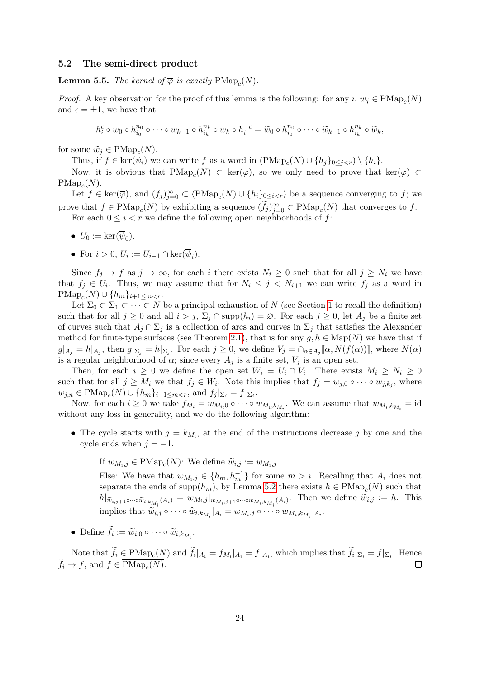### 5.2 The semi-direct product

**Lemma 5.5.** The kernel of  $\overline{\varphi}$  is exactly  $\text{PMap}_c(N)$ .

*Proof.* A key observation for the proof of this lemma is the following: for any  $i, w_j \in \text{PMap}_c(N)$ and  $\epsilon = \pm 1$ , we have that

$$
h_i^{\epsilon} \circ w_0 \circ h_{i_0}^{n_0} \circ \cdots \circ w_{k-1} \circ h_{i_k}^{n_k} \circ w_k \circ h_i^{-\epsilon} = \widetilde{w}_0 \circ h_{i_0}^{n_0} \circ \cdots \circ \widetilde{w}_{k-1} \circ h_{i_k}^{n_k} \circ \widetilde{w}_k,
$$

for some  $\widetilde{w}_j \in \text{PMap}_c(N)$ .<br>Thus if  $f \in \text{ker}(w)$ , we

Thus, if  $f \in \text{ker}(\psi_i)$  we can write f as a word in  $(\text{PMap}_c(N) \cup \{h_j\}_{0 \leq j \leq r}) \setminus \{h_i\}.$ 

Now, it is obvious that  $\text{PMap}_c(N) \subset \text{ker}(\overline{\varphi})$ , so we only need to prove that  $\text{ker}(\overline{\varphi}) \subset$  $\text{PMap}_c(N)$ .

Let  $f \in \text{ker}(\overline{\varphi})$ , and  $(f_j)_{j=0}^{\infty} \subset \langle \text{PMap}_c(N) \cup \{h_i\}_{0 \leq i \leq r} \rangle$  be a sequence converging to f; we prove that  $f \in \overline{\text{PMap}_c(N)}$  by exhibiting a sequence  $(\tilde{f}_j)_{j=0}^{\infty} \subset \text{PMap}_c(N)$  that converges to f.

For each  $0 \leq i < r$  we define the following open neighborhoods of f:

- $U_0 := \ker(\psi_0)$ .
- For  $i > 0$ ,  $U_i := U_{i-1} \cap \ker(\psi_i)$ .

Since  $f_i \to f$  as  $j \to \infty$ , for each i there exists  $N_i \geq 0$  such that for all  $j \geq N_i$  we have that  $f_j \in U_i$ . Thus, we may assume that for  $N_i \leq j \leq N_{i+1}$  we can write  $f_j$  as a word in  $\text{PMap}_c(N) \cup \{h_m\}_{i+1 \leq m < r}.$ 

Let  $\Sigma_0 \subset \Sigma_1 \subset \cdots \subset N$  be a principal exhaustion of N (see Section [1](#page-3-0) to recall the definition) such that for all  $j \geq 0$  and all  $i > j$ ,  $\Sigma_j \cap \text{supp}(h_i) = \emptyset$ . For each  $j \geq 0$ , let  $A_j$  be a finite set of curves such that  $A_j \cap \Sigma_j$  is a collection of arcs and curves in  $\Sigma_j$  that satisfies the Alexander method for finite-type surfaces (see Theorem [2.1\)](#page-5-0), that is for any  $g, h \in \text{Map}(N)$  we have that if  $g|_{A_j} = h|_{A_j}$ , then  $g|_{\Sigma_j} = h|_{\Sigma_j}$ . For each  $j \geq 0$ , we define  $V_j = \bigcap_{\alpha \in A_j} [\![\alpha, N(f(\alpha))] \!]$ , where  $N(\alpha)$ is a regular neighborhood of  $\alpha$ ; since every  $A_j$  is a finite set,  $V_j$  is an open set.

Then, for each  $i \geq 0$  we define the open set  $W_i = U_i \cap V_i$ . There exists  $M_i \geq N_i \geq 0$ such that for all  $j \geq M_i$  we that  $f_j \in W_i$ . Note this implies that  $f_j = w_{j,0} \circ \cdots \circ w_{j,k_j}$ , where  $w_{j,n} \in \text{PMap}_c(N) \cup \{h_m\}_{i+1 \leq m < r}$ , and  $f_j|_{\Sigma_i} = f|_{\Sigma_i}$ .

Now, for each  $i \geq 0$  we take  $f_{M_i} = w_{M_i,0} \circ \cdots \circ w_{M_i,k_{M_i}}$ . We can assume that  $w_{M_i,k_{M_i}} = id$ without any loss in generality, and we do the following algorithm:

- The cycle starts with  $j = k_{M_i}$ , at the end of the instructions decrease j by one and the cycle ends when  $j = -1$ .
	- If  $w_{M_i,j}$  ∈ PMap<sub>c</sub>(N): We define  $\widetilde{w}_{i,j} := w_{M_i,j}$ .
	- Else: We have that  $w_{M_i,j}$  ∈  $\{h_m, h_m^{-1}\}$  for some  $m > i$ . Recalling that  $A_i$  does not separate the ends of supp $(h_m)$ , by Lemma [5.2](#page-20-0) there exists  $h \in \text{PMap}_c(N)$  such that  $h|_{\widetilde{w}_{i,j+1}\circ\cdots\circ\widetilde{w}_{i,k_{M_i}}(A_i)} = w_{M_i,j}|_{w_{M_i,j+1}\circ\cdots\circ w_{M_i,k_{M_i}}(A_i)}$ . Then we define  $\widetilde{w}_{i,j} := h$ . This implies that  $\widetilde{w}_{i,j} \circ \cdots \circ \widetilde{w}_{i,k_{M_i}}|_{A_i} = w_{M_i,j} \circ \cdots \circ w_{M_i,k_{M_i}}|_{A_i}$ .
- Define  $f_i := \widetilde{w}_{i,0} \circ \cdots \circ \widetilde{w}_{i,k_{M_i}}$ .

Note that  $f_i \in \text{PMap}_c(N)$  and  $f_i|_{A_i} = f_{M_i}|_{A_i} = f|_{A_i}$ , which implies that  $f_i|_{\Sigma_i} = f|_{\Sigma_i}$ . Hence  $f_i \to f$ , and  $f \in \text{PMap}_c(N)$ .  $\Box$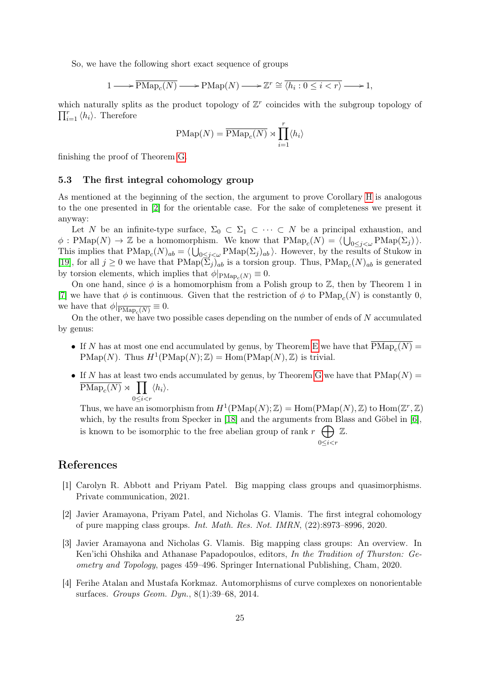So, we have the following short exact sequence of groups

$$
1 \longrightarrow \overline{\text{PMap}_c(N)} \longrightarrow \text{PMap}(N) \longrightarrow \mathbb{Z}^r \cong \overline{\langle h_i : 0 \le i < r \rangle} \longrightarrow 1,
$$

which naturally splits as the product topology of  $\mathbb{Z}^r$  coincides with the subgroup topology of  $\prod_{i=1}^r \langle h_i \rangle$ . Therefore

$$
\text{PMap}(N) = \overline{\text{PMap}_c(N)} \rtimes \prod_{i=1}^r \langle h_i \rangle
$$

finishing the proof of Theorem [G.](#page-2-1)

### 5.3 The first integral cohomology group

As mentioned at the beginning of the section, the argument to prove Corollary [H](#page-2-2) is analogous to the one presented in [\[2\]](#page-24-1) for the orientable case. For the sake of completeness we present it anyway:

Let N be an infinite-type surface,  $\Sigma_0 \subset \Sigma_1 \subset \cdots \subset N$  be a principal exhaustion, and  $\phi: \text{PMap}(N) \to \mathbb{Z}$  be a homomorphism. We know that  $\text{PMap}_c(N) = \langle \bigcup_{0 \leq j < \omega} \text{PMap}(\Sigma_j) \rangle$ . This implies that  $\text{PMap}_c(N)_{ab} = \langle \bigcup_{0 \leq j \leq \omega} \text{PMap}(\Sigma_j)_{ab} \rangle$ . However, by the results of Stukow in [\[19\]](#page-25-5), for all  $j \ge 0$  we have that  $\text{PMap}(\Sigma_j)_{ab}$  is a torsion group. Thus,  $\text{PMap}_c(N)_{ab}$  is generated by torsion elements, which implies that  $\phi|_{\text{PMap}_c(N)} \equiv 0$ .

On one hand, since  $\phi$  is a homomorphism from a Polish group to  $\mathbb{Z}$ , then by Theorem 1 in [\[7\]](#page-25-10) we have that  $\phi$  is continuous. Given that the restriction of  $\phi$  to  $\text{PMap}_c(N)$  is constantly 0, we have that  $\phi|_{\overline{\text{PMap}_c(N)}} \equiv 0.$ 

On the other, we have two possible cases depending on the number of ends of  $N$  accumulated by genus:

- If N has at most one end accumulated by genus, by Theorem [E](#page-2-0) we have that  $\text{PMap}_c(N)$  = PMap(N). Thus  $H^1(\text{PMap}(N);\mathbb{Z}) = \text{Hom}(\text{PMap}(N),\mathbb{Z})$  is trivial.
- If N has at least two ends accumulated by genus, by Theorem [G](#page-2-1) we have that  $P\text{Map}(N) =$  $\overline{\text{PMap}_c(N)} \rtimes \prod$  $0 \leq i \leq r$  $\langle h_i \rangle$ .

Thus, we have an isomorphism from  $H^1(\text{PMap}(N);\mathbb{Z}) = \text{Hom}(\text{PMap}(N),\mathbb{Z})$  to  $\text{Hom}(\mathbb{Z}^r,\mathbb{Z})$ which, by the results from Specker in [\[18\]](#page-25-11) and the arguments from Blass and Göbel in [\[6\]](#page-25-12), is known to be isomorphic to the free abelian group of rank  $r \oplus$ Z.

 $0 \leq i \leq r$ 

# References

- <span id="page-24-3"></span>[1] Carolyn R. Abbott and Priyam Patel. Big mapping class groups and quasimorphisms. Private communication, 2021.
- <span id="page-24-1"></span>[2] Javier Aramayona, Priyam Patel, and Nicholas G. Vlamis. The first integral cohomology of pure mapping class groups. Int. Math. Res. Not. IMRN, (22):8973–8996, 2020.
- <span id="page-24-2"></span>[3] Javier Aramayona and Nicholas G. Vlamis. Big mapping class groups: An overview. In Ken'ichi Ohshika and Athanase Papadopoulos, editors, In the Tradition of Thurston: Geometry and Topology, pages 459–496. Springer International Publishing, Cham, 2020.
- <span id="page-24-0"></span>[4] Ferihe Atalan and Mustafa Korkmaz. Automorphisms of curve complexes on nonorientable surfaces. Groups Geom. Dyn., 8(1):39–68, 2014.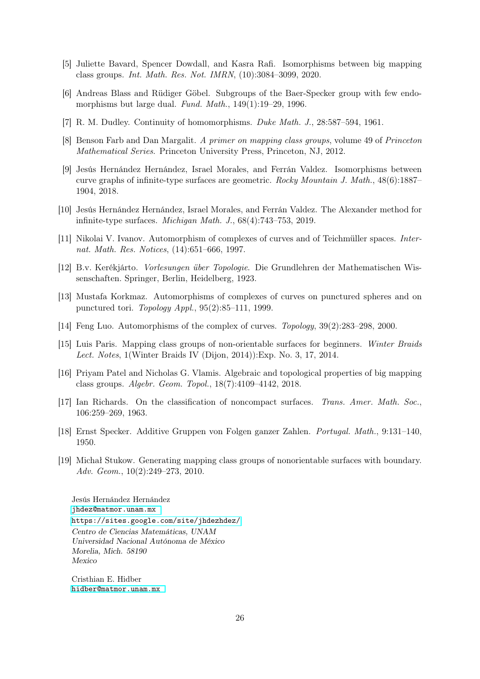- <span id="page-25-8"></span>[5] Juliette Bavard, Spencer Dowdall, and Kasra Rafi. Isomorphisms between big mapping class groups. Int. Math. Res. Not. IMRN, (10):3084–3099, 2020.
- <span id="page-25-12"></span>[6] Andreas Blass and Rüdiger Göbel. Subgroups of the Baer-Specker group with few endomorphisms but large dual. Fund. Math., 149(1):19–29, 1996.
- <span id="page-25-10"></span>[7] R. M. Dudley. Continuity of homomorphisms. Duke Math. J., 28:587–594, 1961.
- <span id="page-25-0"></span>[8] Benson Farb and Dan Margalit. A primer on mapping class groups, volume 49 of Princeton Mathematical Series. Princeton University Press, Princeton, NJ, 2012.
- <span id="page-25-7"></span>[9] Jesús Hernández Hernández, Israel Morales, and Ferrán Valdez. Isomorphisms between curve graphs of infinite-type surfaces are geometric. Rocky Mountain J. Math., 48(6):1887– 1904, 2018.
- <span id="page-25-6"></span>[10] Jesús Hernández Hernández, Israel Morales, and Ferrán Valdez. The Alexander method for infinite-type surfaces. Michigan Math. J., 68(4):743–753, 2019.
- <span id="page-25-1"></span>[11] Nikolai V. Ivanov. Automorphism of complexes of curves and of Teichmüller spaces. Internat. Math. Res. Notices, (14):651–666, 1997.
- <span id="page-25-13"></span>[12] B.v. Kerékjárto. Vorlesungen über Topologie. Die Grundlehren der Mathematischen Wissenschaften. Springer, Berlin, Heidelberg, 1923.
- <span id="page-25-2"></span>[13] Mustafa Korkmaz. Automorphisms of complexes of curves on punctured spheres and on punctured tori. Topology Appl., 95(2):85–111, 1999.
- <span id="page-25-3"></span>[14] Feng Luo. Automorphisms of the complex of curves. Topology, 39(2):283–298, 2000.
- <span id="page-25-4"></span>[15] Luis Paris. Mapping class groups of non-orientable surfaces for beginners. Winter Braids Lect. Notes, 1(Winter Braids IV (Dijon, 2014)):Exp. No. 3, 17, 2014.
- <span id="page-25-9"></span>[16] Priyam Patel and Nicholas G. Vlamis. Algebraic and topological properties of big mapping class groups. Algebr. Geom. Topol., 18(7):4109–4142, 2018.
- <span id="page-25-14"></span>[17] Ian Richards. On the classification of noncompact surfaces. Trans. Amer. Math. Soc., 106:259–269, 1963.
- <span id="page-25-11"></span>[18] Ernst Specker. Additive Gruppen von Folgen ganzer Zahlen. Portugal. Math., 9:131–140, 1950.
- <span id="page-25-5"></span>[19] Michał Stukow. Generating mapping class groups of nonorientable surfaces with boundary. Adv. Geom., 10(2):249–273, 2010.

Jesús Hernández Hernández [jhdez@matmor.unam.mx](mailto:jhdez@matmor.unam.mx ) <https://sites.google.com/site/jhdezhdez/> Centro de Ciencias Matemáticas, UNAM Universidad Nacional Autónoma de México Morelia, Mich. 58190 Mexico

Cristhian E. Hidber [hidber@matmor.unam.mx](mailto:hidber@matmor.unam.mx )